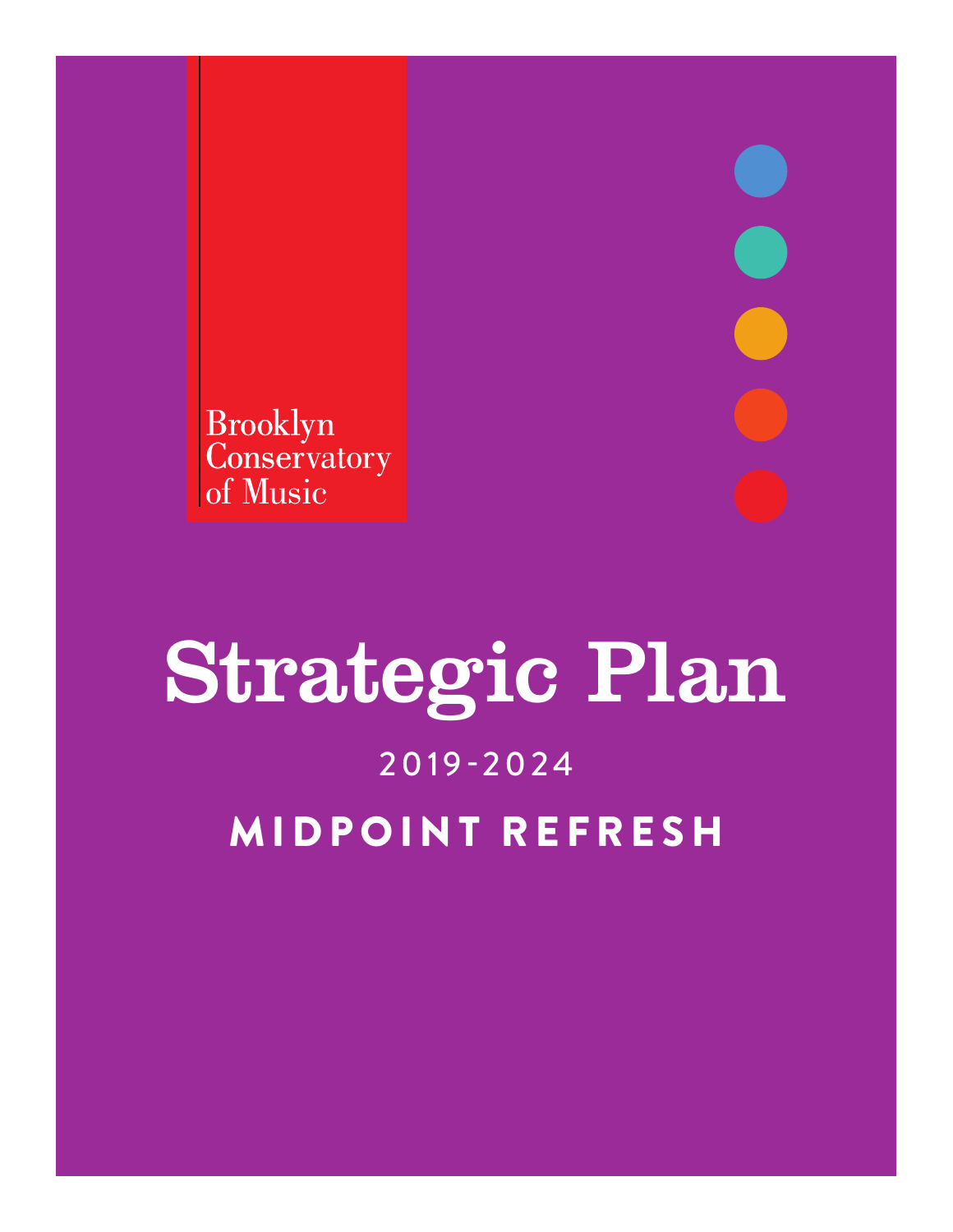Brooklyn<br>Conservatory of Music

# Strategic Plan 2019-2024 MIDPOINT REFRESH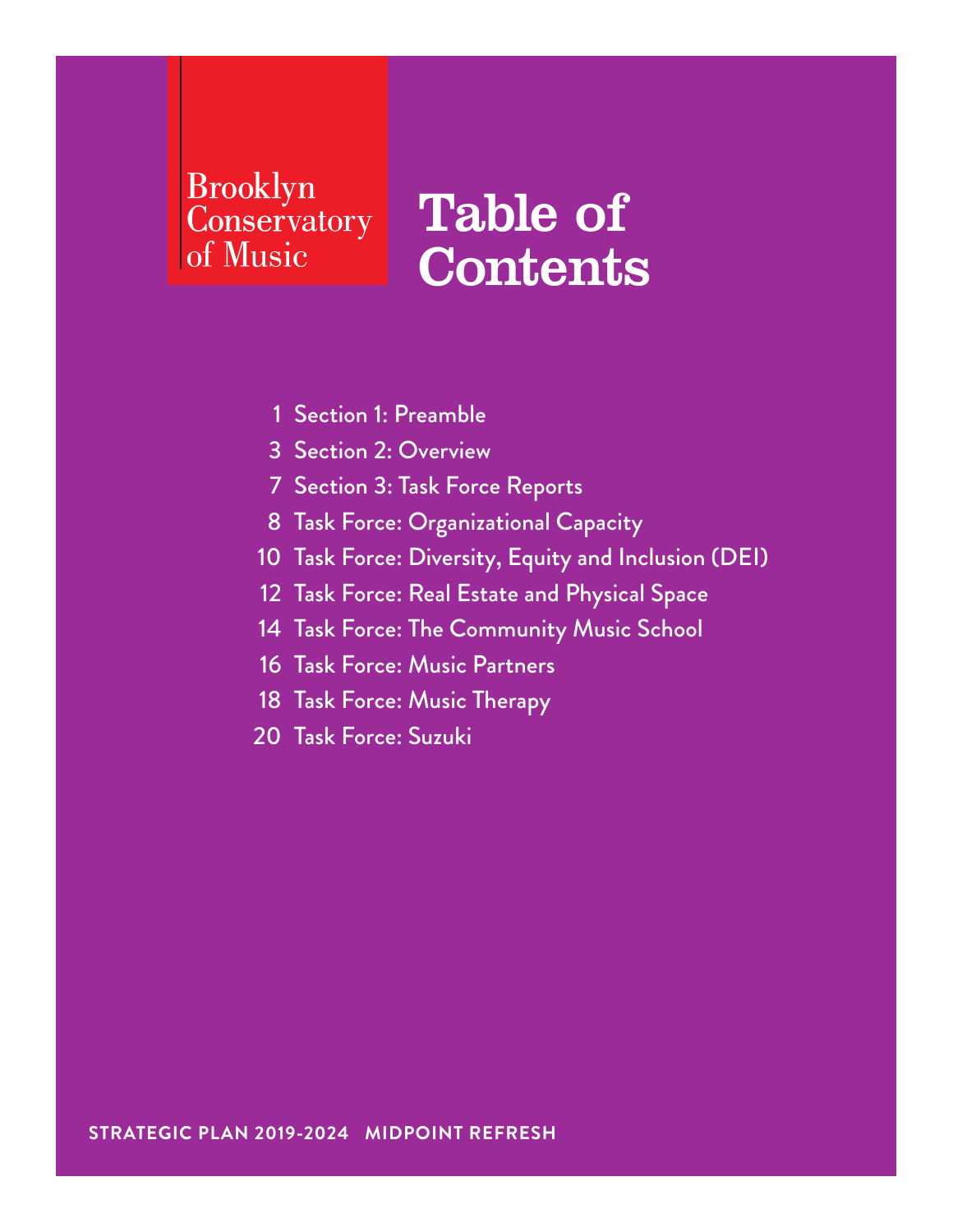## **Brooklyn** Conservatory of Music

# Table of **Contents**

- 1 Section 1: Preamble
- 3 Section 2: Overview
- 7 Section 3: Task Force Reports
- 8 Task Force: Organizational Capacity
- 10 Task Force: Diversity, Equity and Inclusion (DEI)
- 12 Task Force: Real Estate and Physical Space
- 14 Task Force: The Community Music School
- 16 Task Force: Music Partners
- 18 Task Force: Music Therapy
- 20 Task Force: Suzuki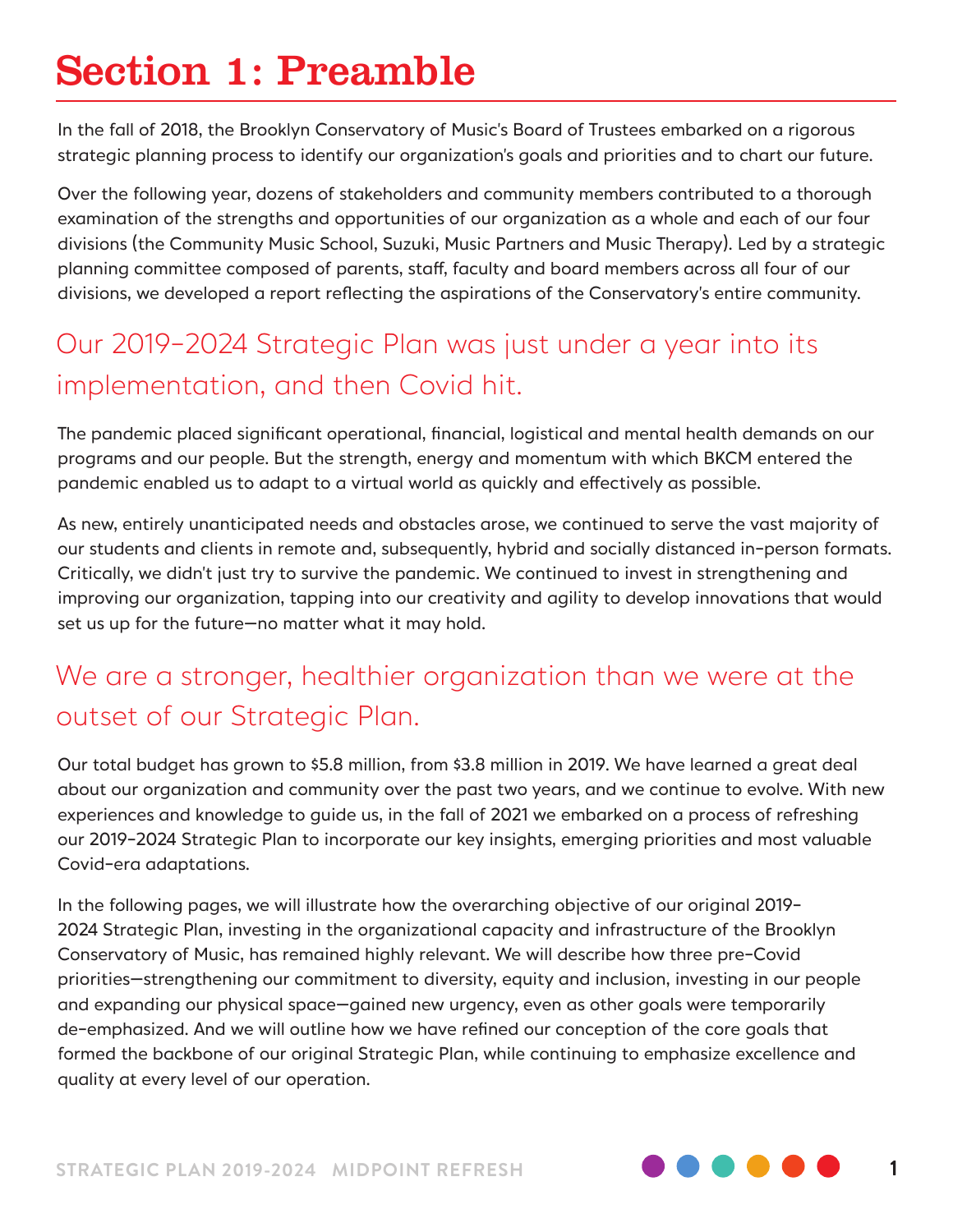# Section 1: Preamble

In the fall of 2018, the Brooklyn Conservatory of Music's Board of Trustees embarked on a rigorous strategic planning process to identify our organization's goals and priorities and to chart our future.

Over the following year, dozens of stakeholders and community members contributed to a thorough examination of the strengths and opportunities of our organization as a whole and each of our four divisions (the Community Music School, Suzuki, Music Partners and Music Therapy). Led by a strategic planning committee composed of parents, staff, faculty and board members across all four of our divisions, we developed a report reflecting the aspirations of the Conservatory's entire community.

## Our 2019-2024 Strategic Plan was just under a year into its implementation, and then Covid hit.

The pandemic placed significant operational, financial, logistical and mental health demands on our programs and our people. But the strength, energy and momentum with which BKCM entered the pandemic enabled us to adapt to a virtual world as quickly and effectively as possible.

As new, entirely unanticipated needs and obstacles arose, we continued to serve the vast majority of our students and clients in remote and, subsequently, hybrid and socially distanced in-person formats. Critically, we didn't just try to survive the pandemic. We continued to invest in strengthening and improving our organization, tapping into our creativity and agility to develop innovations that would set us up for the future—no matter what it may hold.

## We are a stronger, healthier organization than we were at the outset of our Strategic Plan.

Our total budget has grown to \$5.8 million, from \$3.8 million in 2019. We have learned a great deal about our organization and community over the past two years, and we continue to evolve. With new experiences and knowledge to guide us, in the fall of 2021 we embarked on a process of refreshing our 2019-2024 Strategic Plan to incorporate our key insights, emerging priorities and most valuable Covid-era adaptations.

In the following pages, we will illustrate how the overarching objective of our original 2019- 2024 Strategic Plan, investing in the organizational capacity and infrastructure of the Brooklyn Conservatory of Music, has remained highly relevant. We will describe how three pre-Covid priorities—strengthening our commitment to diversity, equity and inclusion, investing in our people and expanding our physical space—gained new urgency, even as other goals were temporarily de-emphasized. And we will outline how we have refined our conception of the core goals that formed the backbone of our original Strategic Plan, while continuing to emphasize excellence and quality at every level of our operation.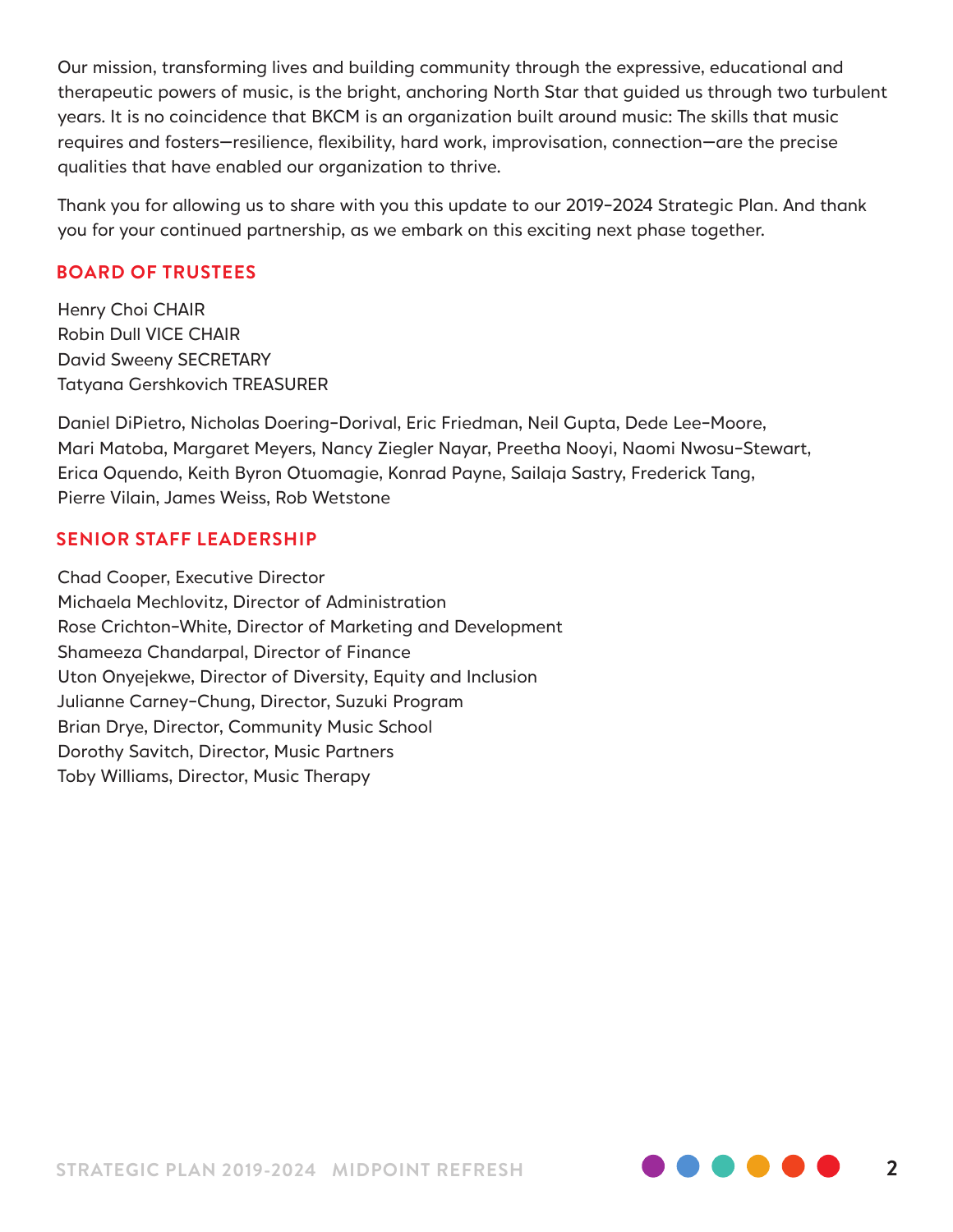Our mission, transforming lives and building community through the expressive, educational and therapeutic powers of music, is the bright, anchoring North Star that guided us through two turbulent years. It is no coincidence that BKCM is an organization built around music: The skills that music requires and fosters—resilience, flexibility, hard work, improvisation, connection—are the precise qualities that have enabled our organization to thrive.

Thank you for allowing us to share with you this update to our 2019-2024 Strategic Plan. And thank you for your continued partnership, as we embark on this exciting next phase together.

#### **BOARD OF TRUSTEES**

Henry Choi CHAIR Robin Dull VICE CHAIR David Sweeny SECRETARY Tatyana Gershkovich TREASURER

Daniel DiPietro, Nicholas Doering-Dorival, Eric Friedman, Neil Gupta, Dede Lee-Moore, Mari Matoba, Margaret Meyers, Nancy Ziegler Nayar, Preetha Nooyi, Naomi Nwosu-Stewart, Erica Oquendo, Keith Byron Otuomagie, Konrad Payne, Sailaja Sastry, Frederick Tang, Pierre Vilain, James Weiss, Rob Wetstone

#### **SENIOR STAFF LEADERSHIP**

Chad Cooper, Executive Director Michaela Mechlovitz, Director of Administration Rose Crichton-White, Director of Marketing and Development Shameeza Chandarpal, Director of Finance Uton Onyejekwe, Director of Diversity, Equity and Inclusion Julianne Carney-Chung, Director, Suzuki Program Brian Drye, Director, Community Music School Dorothy Savitch, Director, Music Partners Toby Williams, Director, Music Therapy

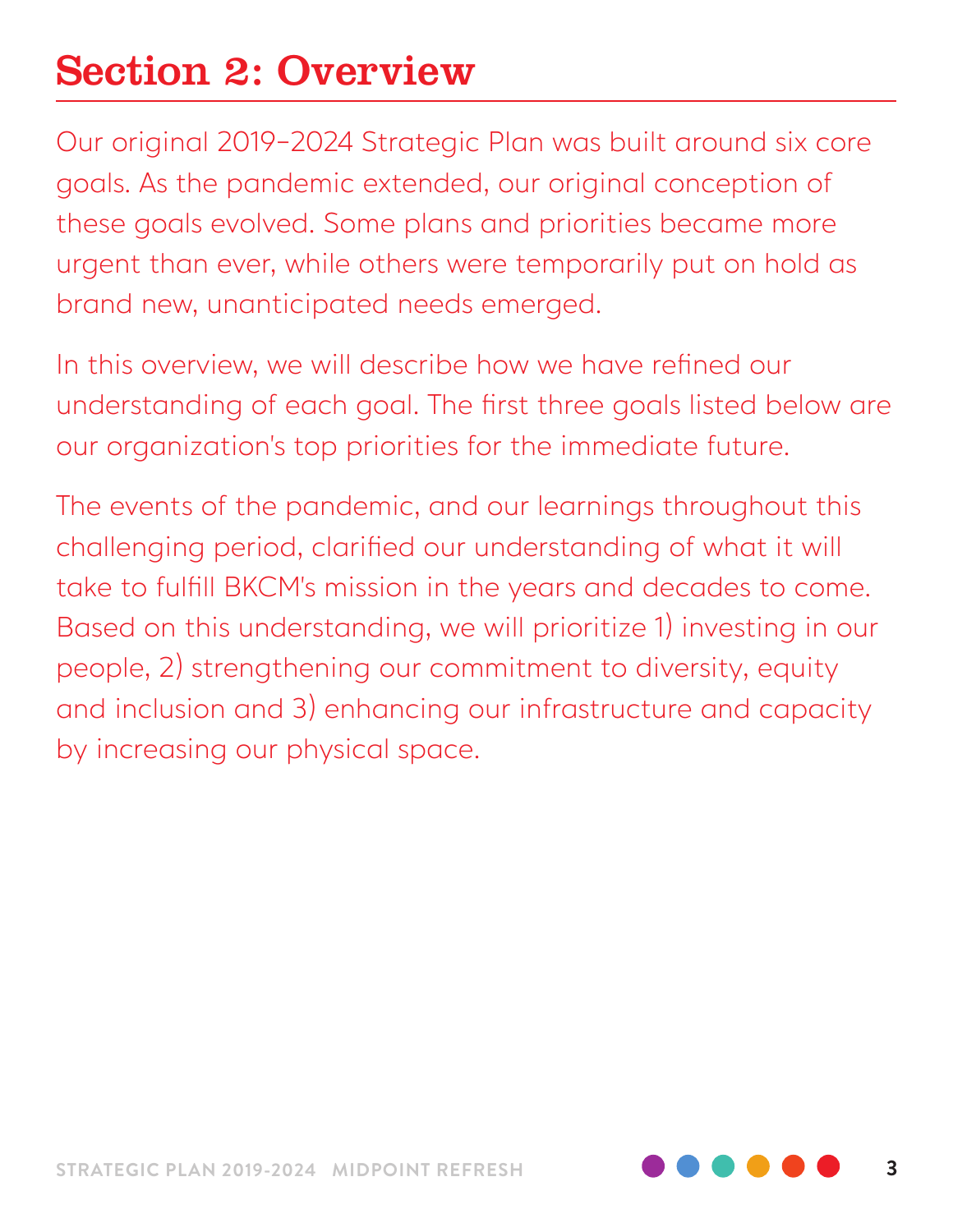# Section 2: Overview

Our original 2019-2024 Strategic Plan was built around six core goals. As the pandemic extended, our original conception of these goals evolved. Some plans and priorities became more urgent than ever, while others were temporarily put on hold as brand new, unanticipated needs emerged.

In this overview, we will describe how we have refined our understanding of each goal. The first three goals listed below are our organization's top priorities for the immediate future.

The events of the pandemic, and our learnings throughout this challenging period, clarified our understanding of what it will take to fulfill BKCM's mission in the years and decades to come. Based on this understanding, we will prioritize 1) investing in our people, 2) strengthening our commitment to diversity, equity and inclusion and 3) enhancing our infrastructure and capacity by increasing our physical space.

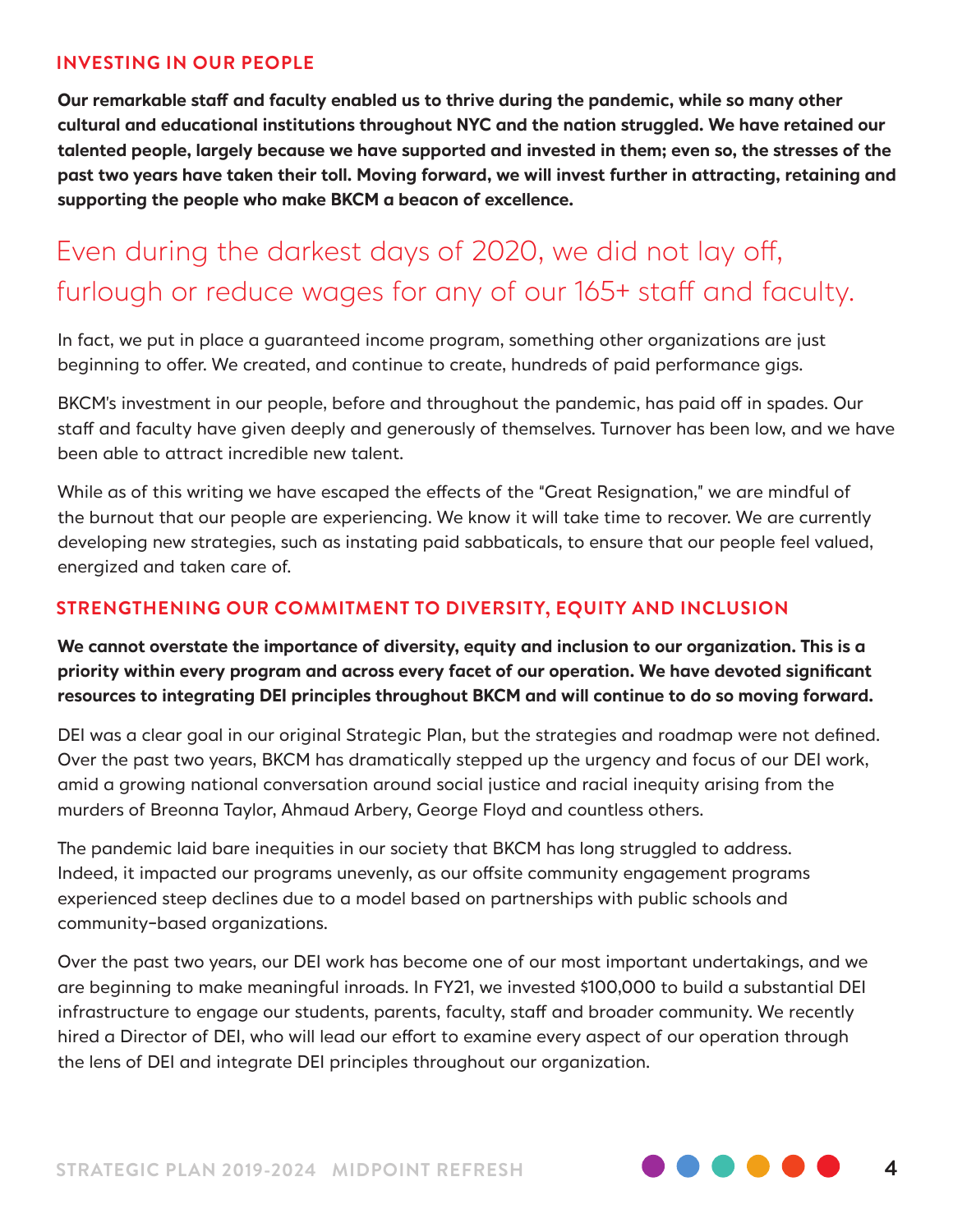#### **INVESTING IN OUR PEOPLE**

**Our remarkable staff and faculty enabled us to thrive during the pandemic, while so many other cultural and educational institutions throughout NYC and the nation struggled. We have retained our talented people, largely because we have supported and invested in them; even so, the stresses of the past two years have taken their toll. Moving forward, we will invest further in attracting, retaining and supporting the people who make BKCM a beacon of excellence.** 

## Even during the darkest days of 2020, we did not lay off, furlough or reduce wages for any of our 165+ staff and faculty.

In fact, we put in place a guaranteed income program, something other organizations are just beginning to offer. We created, and continue to create, hundreds of paid performance gigs.

BKCM's investment in our people, before and throughout the pandemic, has paid off in spades. Our staff and faculty have given deeply and generously of themselves. Turnover has been low, and we have been able to attract incredible new talent.

While as of this writing we have escaped the effects of the "Great Resignation," we are mindful of the burnout that our people are experiencing. We know it will take time to recover. We are currently developing new strategies, such as instating paid sabbaticals, to ensure that our people feel valued, energized and taken care of.

#### **STRENGTHENING OUR COMMITMENT TO DIVERSITY, EQUITY AND INCLUSION**

**We cannot overstate the importance of diversity, equity and inclusion to our organization. This is a priority within every program and across every facet of our operation. We have devoted significant resources to integrating DEI principles throughout BKCM and will continue to do so moving forward.**

DEI was a clear goal in our original Strategic Plan, but the strategies and roadmap were not defined. Over the past two years, BKCM has dramatically stepped up the urgency and focus of our DEI work, amid a growing national conversation around social justice and racial inequity arising from the murders of Breonna Taylor, Ahmaud Arbery, George Floyd and countless others.

The pandemic laid bare inequities in our society that BKCM has long struggled to address. Indeed, it impacted our programs unevenly, as our offsite community engagement programs experienced steep declines due to a model based on partnerships with public schools and community-based organizations.

Over the past two years, our DEI work has become one of our most important undertakings, and we are beginning to make meaningful inroads. In FY21, we invested \$100,000 to build a substantial DEI infrastructure to engage our students, parents, faculty, staff and broader community. We recently hired a Director of DEI, who will lead our effort to examine every aspect of our operation through the lens of DEI and integrate DEI principles throughout our organization.

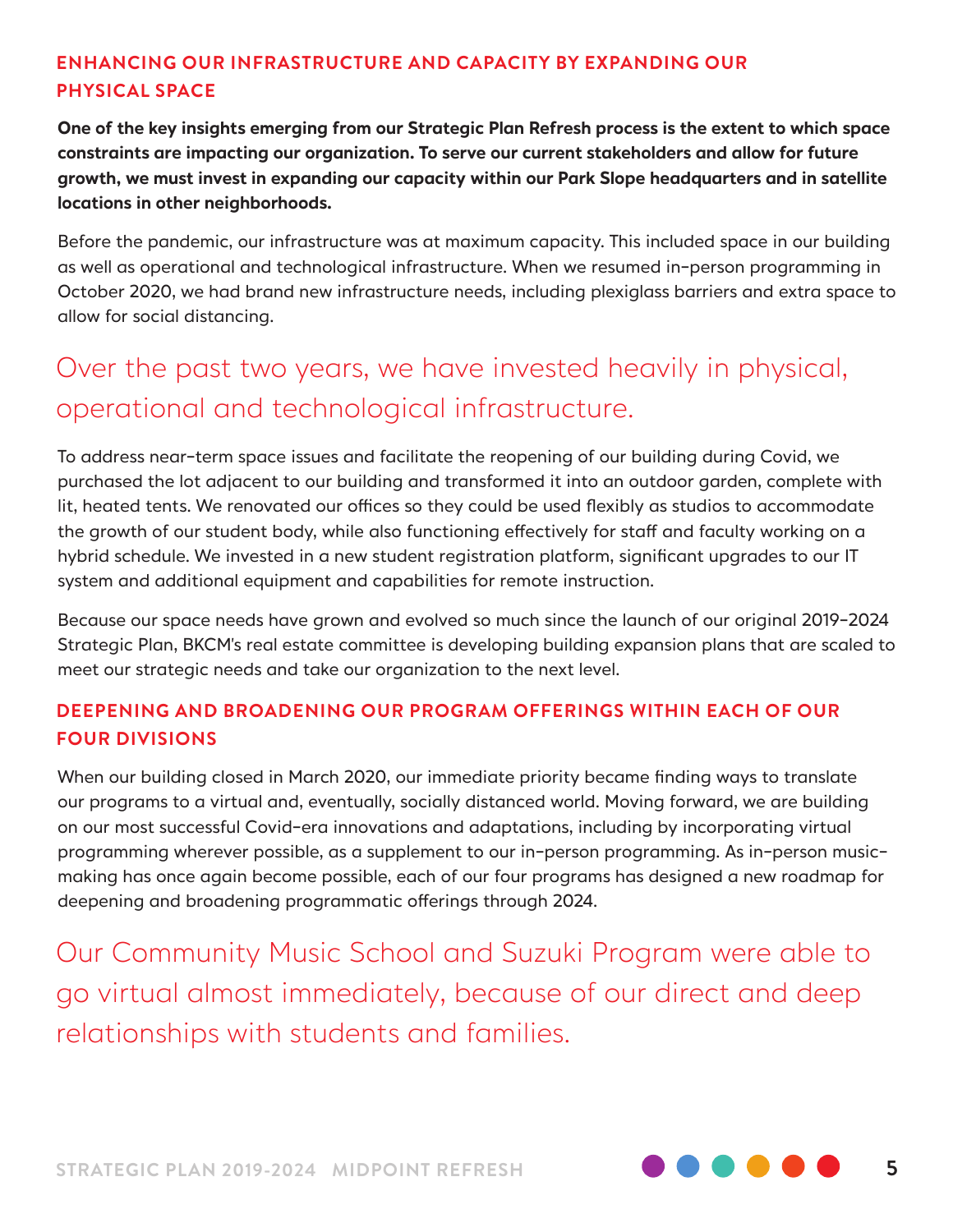#### **ENHANCING OUR INFRASTRUCTURE AND CAPACITY BY EXPANDING OUR PHYSICAL SPACE**

**One of the key insights emerging from our Strategic Plan Refresh process is the extent to which space constraints are impacting our organization. To serve our current stakeholders and allow for future growth, we must invest in expanding our capacity within our Park Slope headquarters and in satellite locations in other neighborhoods.** 

Before the pandemic, our infrastructure was at maximum capacity. This included space in our building as well as operational and technological infrastructure. When we resumed in-person programming in October 2020, we had brand new infrastructure needs, including plexiglass barriers and extra space to allow for social distancing.

## Over the past two years, we have invested heavily in physical, operational and technological infrastructure.

To address near-term space issues and facilitate the reopening of our building during Covid, we purchased the lot adjacent to our building and transformed it into an outdoor garden, complete with lit, heated tents. We renovated our offices so they could be used flexibly as studios to accommodate the growth of our student body, while also functioning effectively for staff and faculty working on a hybrid schedule. We invested in a new student registration platform, significant upgrades to our IT system and additional equipment and capabilities for remote instruction.

Because our space needs have grown and evolved so much since the launch of our original 2019-2024 Strategic Plan, BKCM's real estate committee is developing building expansion plans that are scaled to meet our strategic needs and take our organization to the next level.

#### **DEEPENING AND BROADENING OUR PROGRAM OFFERINGS WITHIN EACH OF OUR FOUR DIVISIONS**

When our building closed in March 2020, our immediate priority became finding ways to translate our programs to a virtual and, eventually, socially distanced world. Moving forward, we are building on our most successful Covid-era innovations and adaptations, including by incorporating virtual programming wherever possible, as a supplement to our in-person programming. As in-person musicmaking has once again become possible, each of our four programs has designed a new roadmap for deepening and broadening programmatic offerings through 2024.

Our Community Music School and Suzuki Program were able to go virtual almost immediately, because of our direct and deep relationships with students and families.



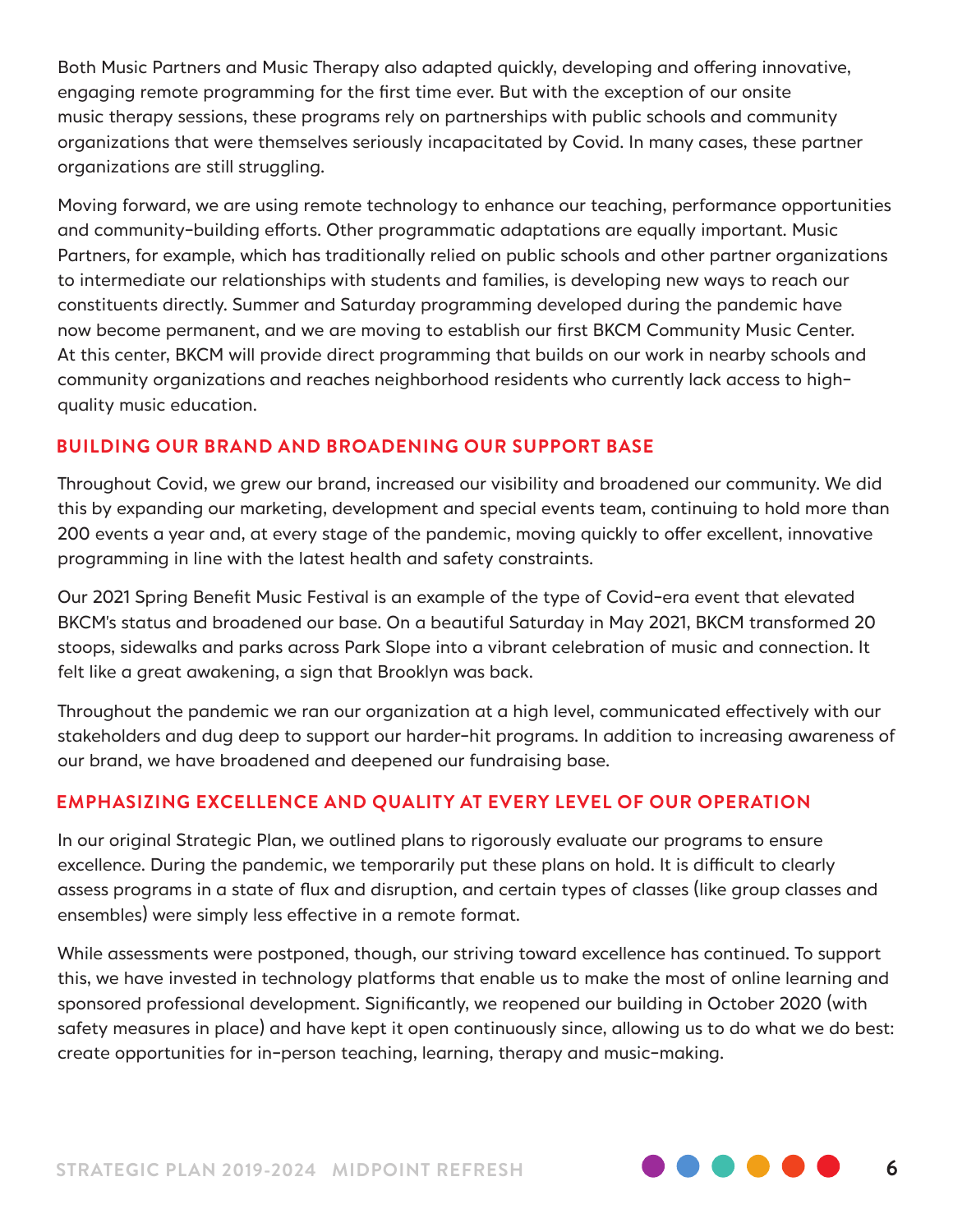Both Music Partners and Music Therapy also adapted quickly, developing and offering innovative, engaging remote programming for the first time ever. But with the exception of our onsite music therapy sessions, these programs rely on partnerships with public schools and community organizations that were themselves seriously incapacitated by Covid. In many cases, these partner organizations are still struggling.

Moving forward, we are using remote technology to enhance our teaching, performance opportunities and community-building efforts. Other programmatic adaptations are equally important. Music Partners, for example, which has traditionally relied on public schools and other partner organizations to intermediate our relationships with students and families, is developing new ways to reach our constituents directly. Summer and Saturday programming developed during the pandemic have now become permanent, and we are moving to establish our first BKCM Community Music Center. At this center, BKCM will provide direct programming that builds on our work in nearby schools and community organizations and reaches neighborhood residents who currently lack access to highquality music education.

#### **BUILDING OUR BRAND AND BROADENING OUR SUPPORT BASE**

Throughout Covid, we grew our brand, increased our visibility and broadened our community. We did this by expanding our marketing, development and special events team, continuing to hold more than 200 events a year and, at every stage of the pandemic, moving quickly to offer excellent, innovative programming in line with the latest health and safety constraints.

Our 2021 Spring Benefit Music Festival is an example of the type of Covid-era event that elevated BKCM's status and broadened our base. On a beautiful Saturday in May 2021, BKCM transformed 20 stoops, sidewalks and parks across Park Slope into a vibrant celebration of music and connection. It felt like a great awakening, a sign that Brooklyn was back.

Throughout the pandemic we ran our organization at a high level, communicated effectively with our stakeholders and dug deep to support our harder-hit programs. In addition to increasing awareness of our brand, we have broadened and deepened our fundraising base.

#### **EMPHASIZING EXCELLENCE AND QUALITY AT EVERY LEVEL OF OUR OPERATION**

In our original Strategic Plan, we outlined plans to rigorously evaluate our programs to ensure excellence. During the pandemic, we temporarily put these plans on hold. It is difficult to clearly assess programs in a state of flux and disruption, and certain types of classes (like group classes and ensembles) were simply less effective in a remote format.

While assessments were postponed, though, our striving toward excellence has continued. To support this, we have invested in technology platforms that enable us to make the most of online learning and sponsored professional development. Significantly, we reopened our building in October 2020 (with safety measures in place) and have kept it open continuously since, allowing us to do what we do best: create opportunities for in-person teaching, learning, therapy and music-making.

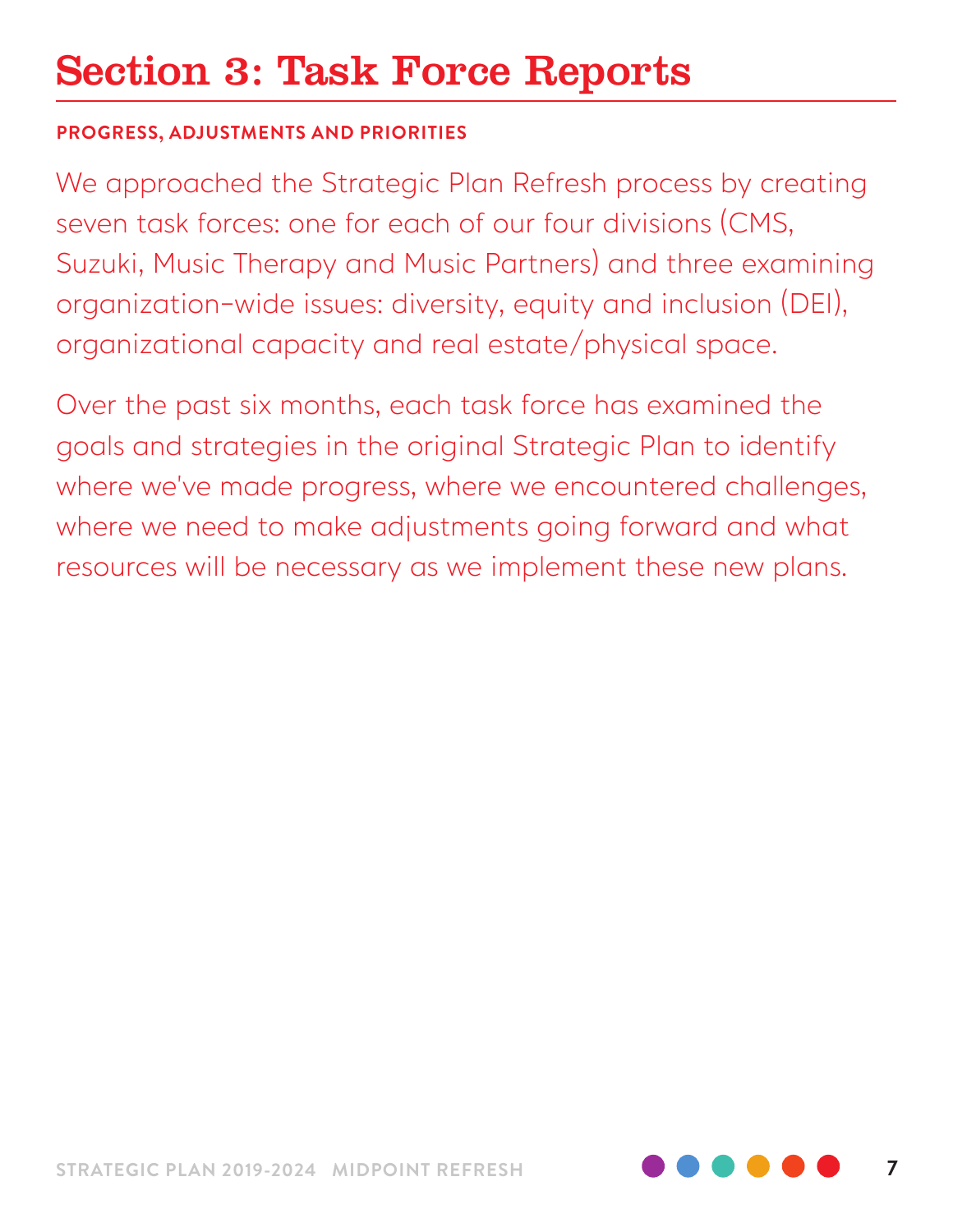# Section 3: Task Force Reports

#### **PROGRESS, ADJUSTMENTS AND PRIORITIES**

We approached the Strategic Plan Refresh process by creating seven task forces: one for each of our four divisions (CMS, Suzuki, Music Therapy and Music Partners) and three examining organization-wide issues: diversity, equity and inclusion (DEI), organizational capacity and real estate/physical space.

Over the past six months, each task force has examined the goals and strategies in the original Strategic Plan to identify where we've made progress, where we encountered challenges, where we need to make adjustments going forward and what resources will be necessary as we implement these new plans.

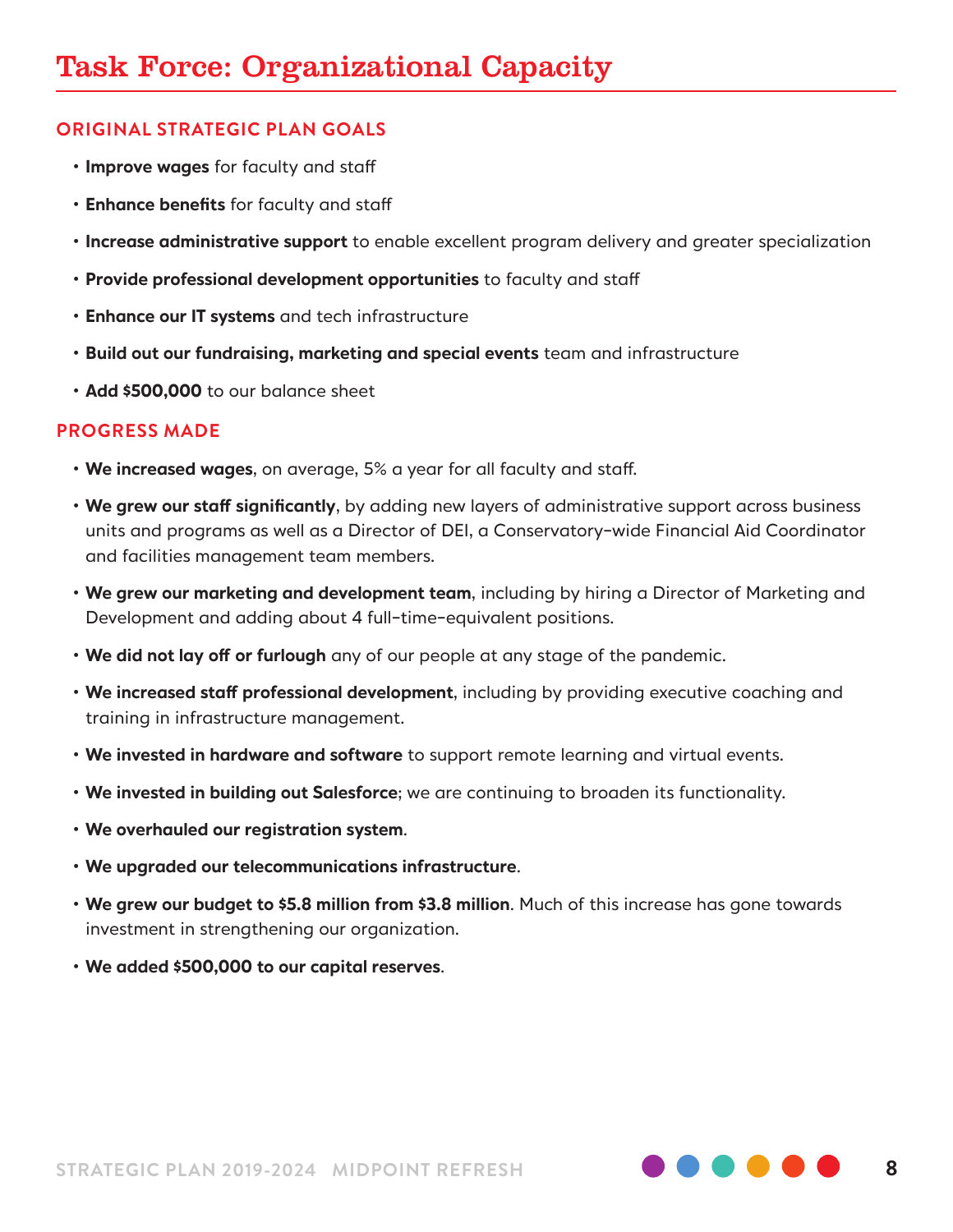- **Improve wages** for faculty and staff
- **Enhance benefits** for faculty and staff
- **Increase administrative support** to enable excellent program delivery and greater specialization
- **Provide professional development opportunities** to faculty and staff
- **Enhance our IT systems** and tech infrastructure
- **Build out our fundraising, marketing and special events** team and infrastructure
- **Add \$500,000** to our balance sheet

- **We increased wages**, on average, 5% a year for all faculty and staff.
- **We grew our staff significantly**, by adding new layers of administrative support across business units and programs as well as a Director of DEI, a Conservatory-wide Financial Aid Coordinator and facilities management team members.
- **We grew our marketing and development team**, including by hiring a Director of Marketing and Development and adding about 4 full-time-equivalent positions.
- **We did not lay off or furlough** any of our people at any stage of the pandemic.
- **We increased staff professional development**, including by providing executive coaching and training in infrastructure management.
- **We invested in hardware and software** to support remote learning and virtual events.
- **We invested in building out Salesforce**; we are continuing to broaden its functionality.
- **We overhauled our registration system**.
- **We upgraded our telecommunications infrastructure**.
- **We grew our budget to \$5.8 million from \$3.8 million**. Much of this increase has gone towards investment in strengthening our organization.
- **We added \$500,000 to our capital reserves**.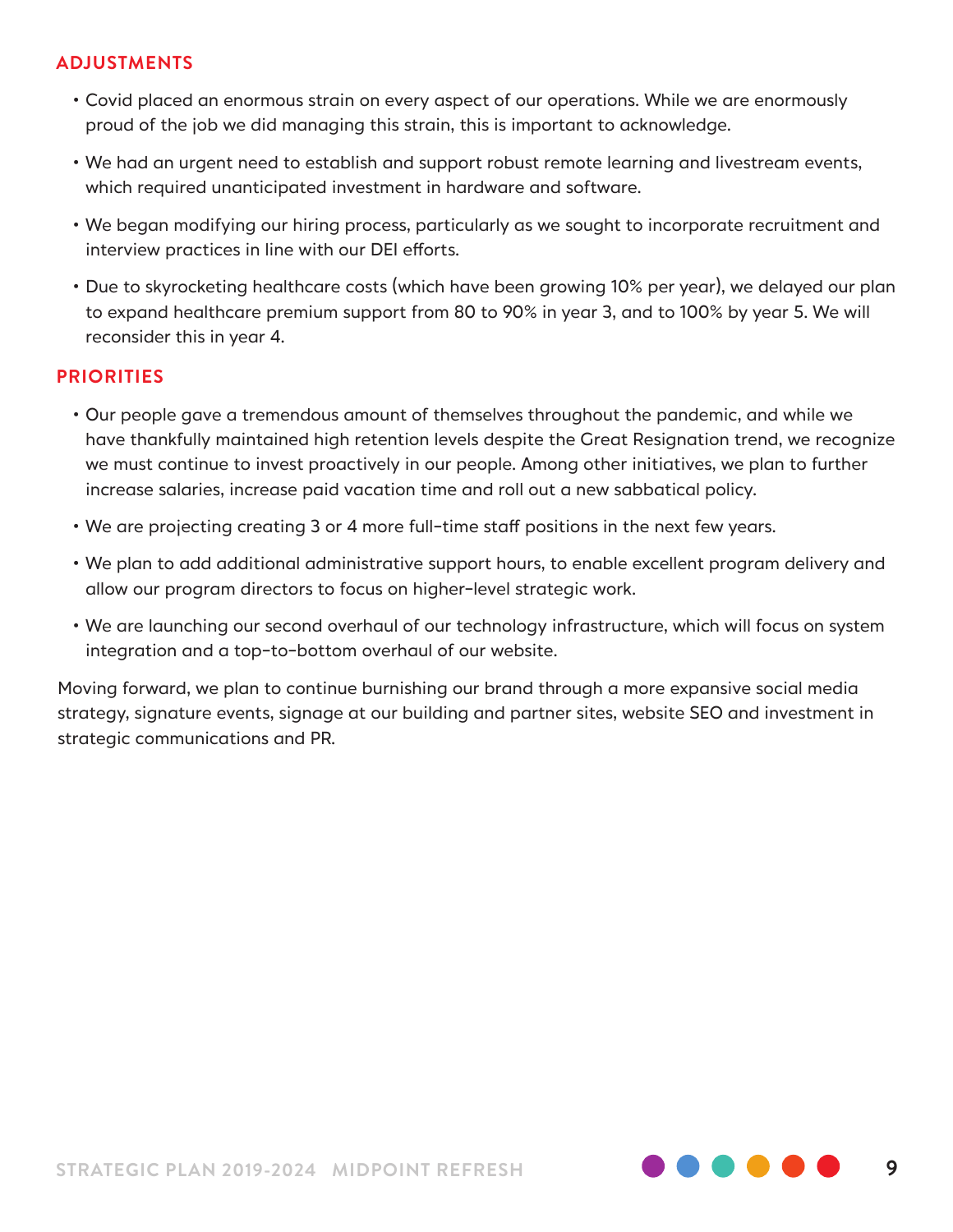#### **ADJUSTMENTS**

- Covid placed an enormous strain on every aspect of our operations. While we are enormously proud of the job we did managing this strain, this is important to acknowledge.
- We had an urgent need to establish and support robust remote learning and livestream events, which required unanticipated investment in hardware and software.
- We began modifying our hiring process, particularly as we sought to incorporate recruitment and interview practices in line with our DEI efforts.
- Due to skyrocketing healthcare costs (which have been growing 10% per year), we delayed our plan to expand healthcare premium support from 80 to 90% in year 3, and to 100% by year 5. We will reconsider this in year 4.

#### **PRIORITIES**

- Our people gave a tremendous amount of themselves throughout the pandemic, and while we have thankfully maintained high retention levels despite the Great Resignation trend, we recognize we must continue to invest proactively in our people. Among other initiatives, we plan to further increase salaries, increase paid vacation time and roll out a new sabbatical policy.
- We are projecting creating 3 or 4 more full-time staff positions in the next few years.
- We plan to add additional administrative support hours, to enable excellent program delivery and allow our program directors to focus on higher-level strategic work.
- We are launching our second overhaul of our technology infrastructure, which will focus on system integration and a top-to-bottom overhaul of our website.

Moving forward, we plan to continue burnishing our brand through a more expansive social media strategy, signature events, signage at our building and partner sites, website SEO and investment in strategic communications and PR.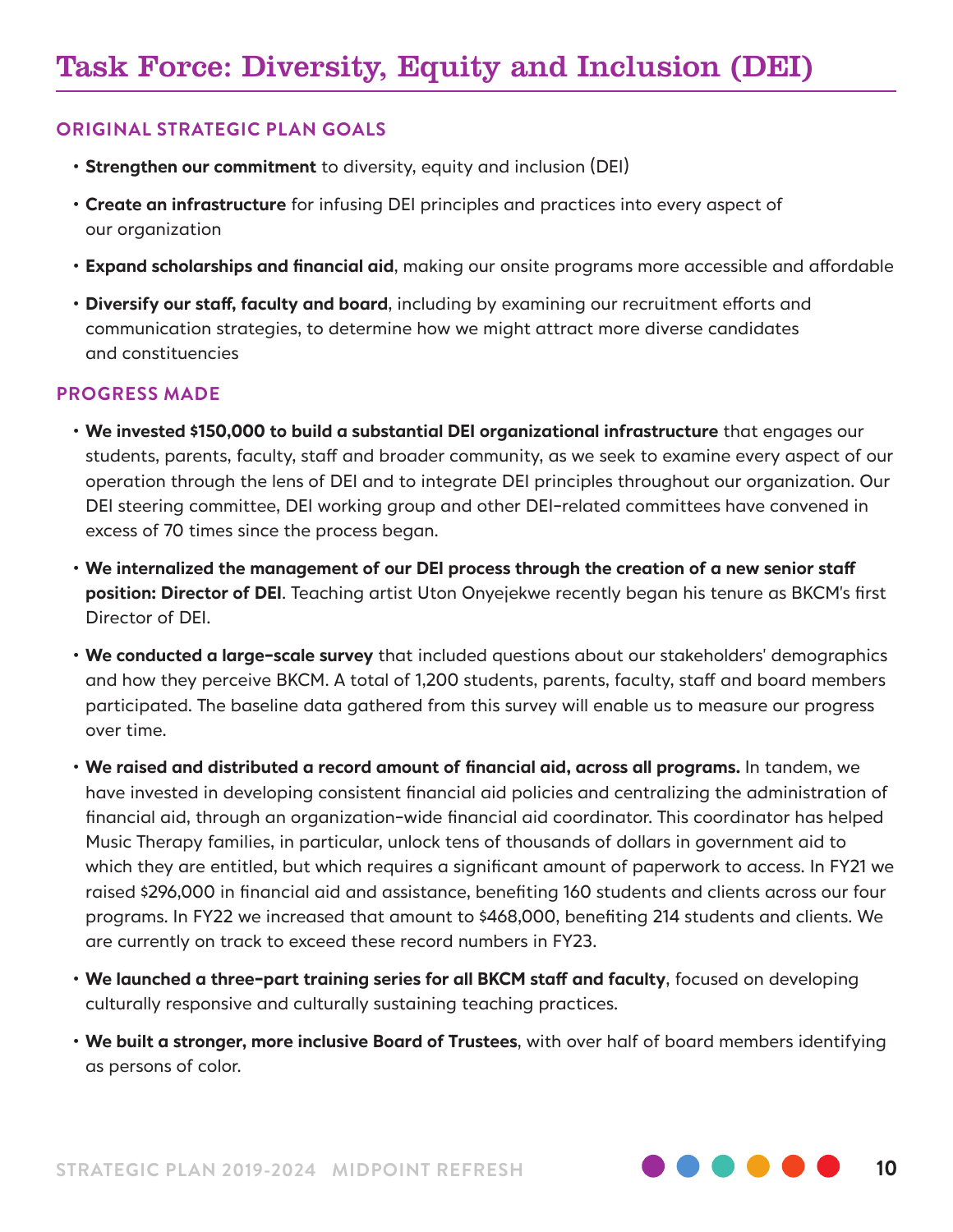- **Strengthen our commitment** to diversity, equity and inclusion (DEI)
- **Create an infrastructure** for infusing DEI principles and practices into every aspect of our organization
- **Expand scholarships and financial aid**, making our onsite programs more accessible and affordable
- **Diversify our staff, faculty and board**, including by examining our recruitment efforts and communication strategies, to determine how we might attract more diverse candidates and constituencies

- **We invested \$150,000 to build a substantial DEI organizational infrastructure** that engages our students, parents, faculty, staff and broader community, as we seek to examine every aspect of our operation through the lens of DEI and to integrate DEI principles throughout our organization. Our DEI steering committee, DEI working group and other DEI-related committees have convened in excess of 70 times since the process began.
- **We internalized the management of our DEI process through the creation of a new senior staff position: Director of DEI**. Teaching artist Uton Onyejekwe recently began his tenure as BKCM's first Director of DEI.
- **We conducted a large-scale survey** that included questions about our stakeholders' demographics and how they perceive BKCM. A total of 1,200 students, parents, faculty, staff and board members participated. The baseline data gathered from this survey will enable us to measure our progress over time.
- **We raised and distributed a record amount of financial aid, across all programs.** In tandem, we have invested in developing consistent financial aid policies and centralizing the administration of financial aid, through an organization-wide financial aid coordinator. This coordinator has helped Music Therapy families, in particular, unlock tens of thousands of dollars in government aid to which they are entitled, but which requires a significant amount of paperwork to access. In FY21 we raised \$296,000 in financial aid and assistance, benefiting 160 students and clients across our four programs. In FY22 we increased that amount to \$468,000, benefiting 214 students and clients. We are currently on track to exceed these record numbers in FY23.
- **We launched a three-part training series for all BKCM staff and faculty**, focused on developing culturally responsive and culturally sustaining teaching practices.
- **We built a stronger, more inclusive Board of Trustees**, with over half of board members identifying as persons of color.

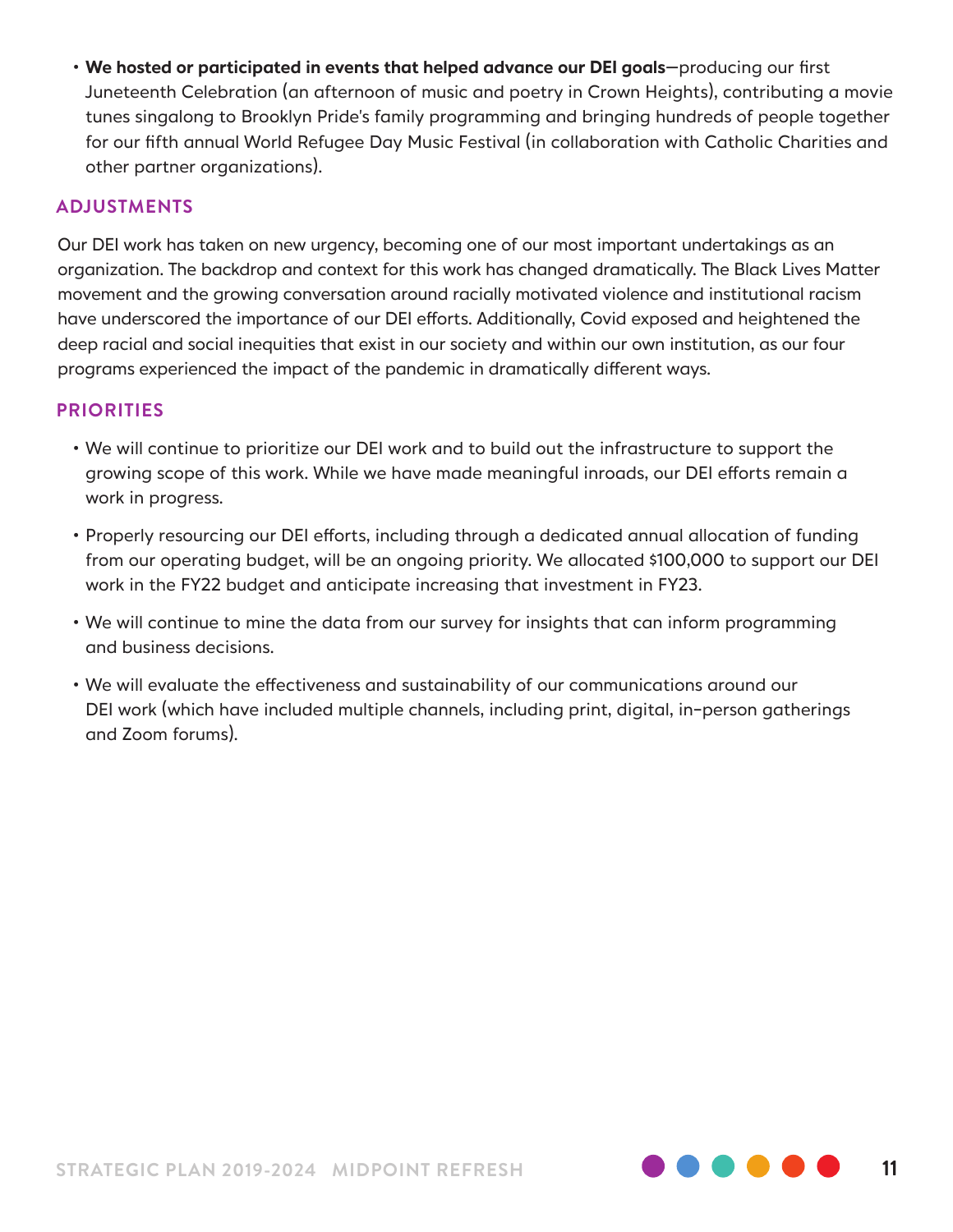• **We hosted or participated in events that helped advance our DEI goals**—producing our first Juneteenth Celebration (an afternoon of music and poetry in Crown Heights), contributing a movie tunes singalong to Brooklyn Pride's family programming and bringing hundreds of people together for our fifth annual World Refugee Day Music Festival (in collaboration with Catholic Charities and other partner organizations).

#### **ADJUSTMENTS**

Our DEI work has taken on new urgency, becoming one of our most important undertakings as an organization. The backdrop and context for this work has changed dramatically. The Black Lives Matter movement and the growing conversation around racially motivated violence and institutional racism have underscored the importance of our DEI efforts. Additionally, Covid exposed and heightened the deep racial and social inequities that exist in our society and within our own institution, as our four programs experienced the impact of the pandemic in dramatically different ways.

- We will continue to prioritize our DEI work and to build out the infrastructure to support the growing scope of this work. While we have made meaningful inroads, our DEI efforts remain a work in progress.
- Properly resourcing our DEI efforts, including through a dedicated annual allocation of funding from our operating budget, will be an ongoing priority. We allocated \$100,000 to support our DEI work in the FY22 budget and anticipate increasing that investment in FY23.
- We will continue to mine the data from our survey for insights that can inform programming and business decisions.
- We will evaluate the effectiveness and sustainability of our communications around our DEI work (which have included multiple channels, including print, digital, in-person gatherings and Zoom forums).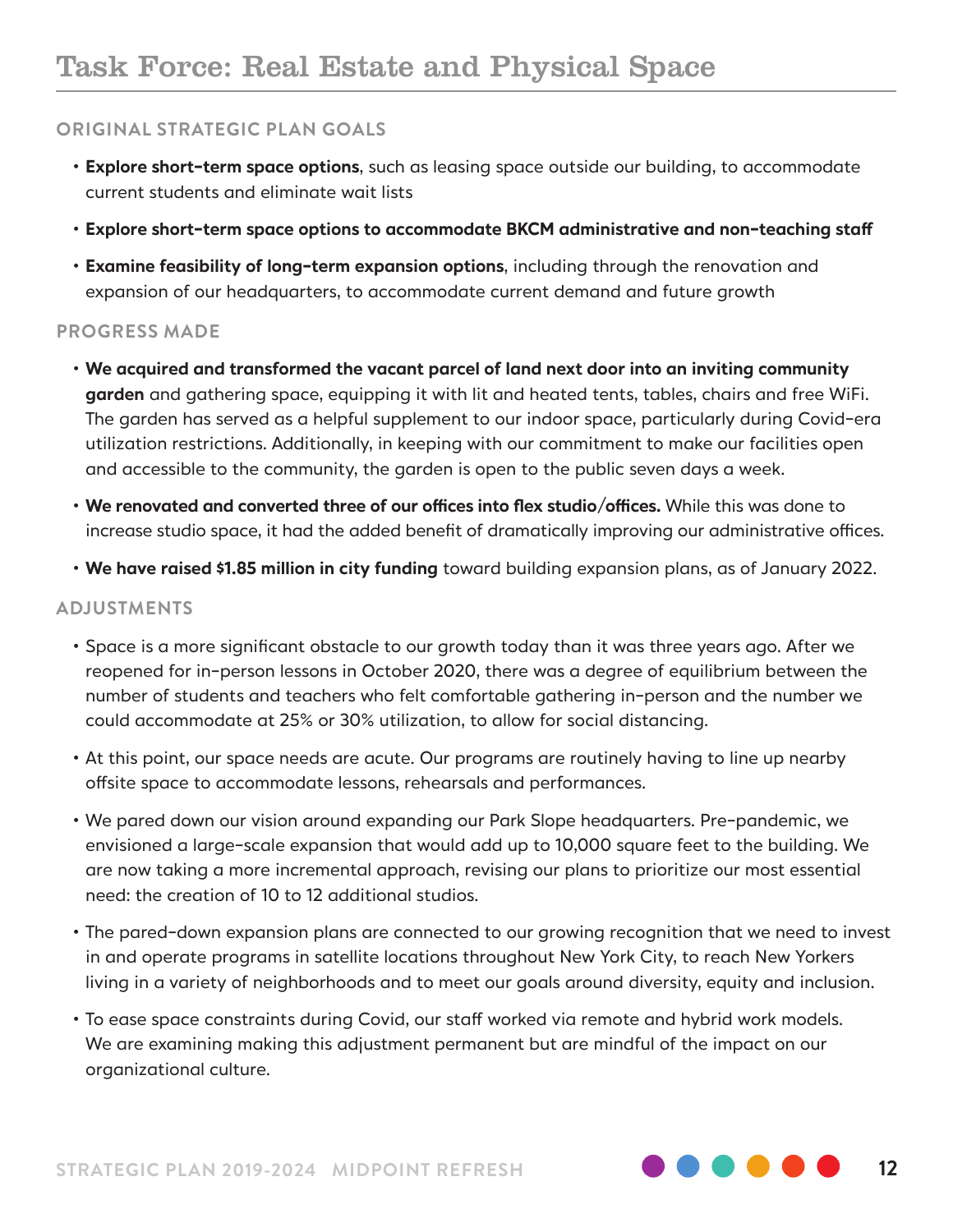- **Explore short-term space options**, such as leasing space outside our building, to accommodate current students and eliminate wait lists
- **Explore short-term space options to accommodate BKCM administrative and non-teaching staff**
- **Examine feasibility of long-term expansion options**, including through the renovation and expansion of our headquarters, to accommodate current demand and future growth

#### **PROGRESS MADE**

- **We acquired and transformed the vacant parcel of land next door into an inviting community garden** and gathering space, equipping it with lit and heated tents, tables, chairs and free WiFi. The garden has served as a helpful supplement to our indoor space, particularly during Covid-era utilization restrictions. Additionally, in keeping with our commitment to make our facilities open and accessible to the community, the garden is open to the public seven days a week.
- **We renovated and converted three of our offices into flex studio/offices.** While this was done to increase studio space, it had the added benefit of dramatically improving our administrative offices.
- **We have raised \$1.85 million in city funding** toward building expansion plans, as of January 2022.

#### **ADJUSTMENTS**

- Space is a more significant obstacle to our growth today than it was three years ago. After we reopened for in-person lessons in October 2020, there was a degree of equilibrium between the number of students and teachers who felt comfortable gathering in-person and the number we could accommodate at 25% or 30% utilization, to allow for social distancing.
- At this point, our space needs are acute. Our programs are routinely having to line up nearby offsite space to accommodate lessons, rehearsals and performances.
- We pared down our vision around expanding our Park Slope headquarters. Pre-pandemic, we envisioned a large-scale expansion that would add up to 10,000 square feet to the building. We are now taking a more incremental approach, revising our plans to prioritize our most essential need: the creation of 10 to 12 additional studios.
- The pared-down expansion plans are connected to our growing recognition that we need to invest in and operate programs in satellite locations throughout New York City, to reach New Yorkers living in a variety of neighborhoods and to meet our goals around diversity, equity and inclusion.
- To ease space constraints during Covid, our staff worked via remote and hybrid work models. We are examining making this adjustment permanent but are mindful of the impact on our organizational culture.

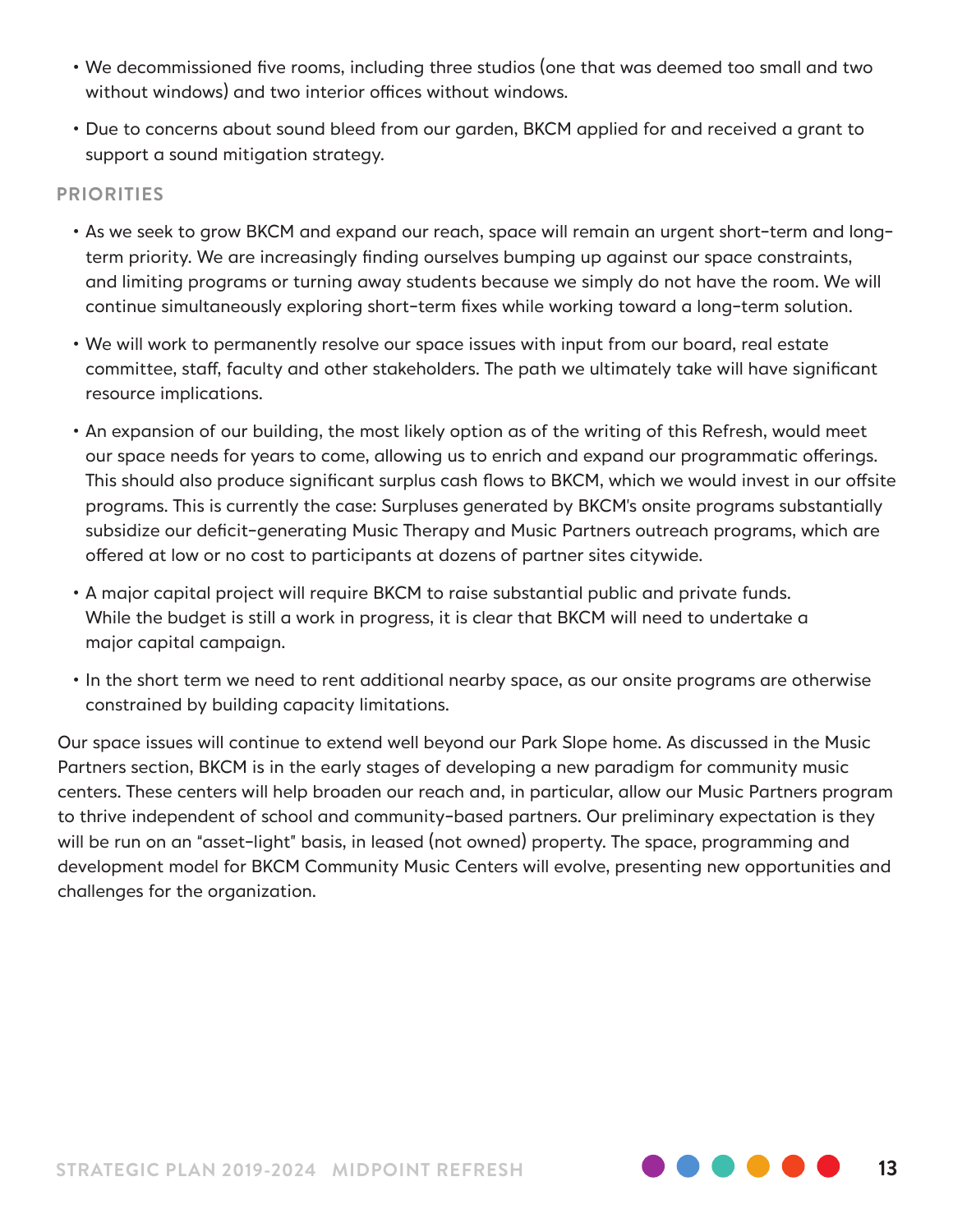- We decommissioned five rooms, including three studios (one that was deemed too small and two without windows) and two interior offices without windows.
- Due to concerns about sound bleed from our garden, BKCM applied for and received a grant to support a sound mitigation strategy.

#### **PRIORITIES**

- As we seek to grow BKCM and expand our reach, space will remain an urgent short-term and longterm priority. We are increasingly finding ourselves bumping up against our space constraints, and limiting programs or turning away students because we simply do not have the room. We will continue simultaneously exploring short-term fixes while working toward a long-term solution.
- We will work to permanently resolve our space issues with input from our board, real estate committee, staff, faculty and other stakeholders. The path we ultimately take will have significant resource implications.
- An expansion of our building, the most likely option as of the writing of this Refresh, would meet our space needs for years to come, allowing us to enrich and expand our programmatic offerings. This should also produce significant surplus cash flows to BKCM, which we would invest in our offsite programs. This is currently the case: Surpluses generated by BKCM's onsite programs substantially subsidize our deficit-generating Music Therapy and Music Partners outreach programs, which are offered at low or no cost to participants at dozens of partner sites citywide.
- A major capital project will require BKCM to raise substantial public and private funds. While the budget is still a work in progress, it is clear that BKCM will need to undertake a major capital campaign.
- In the short term we need to rent additional nearby space, as our onsite programs are otherwise constrained by building capacity limitations.

Our space issues will continue to extend well beyond our Park Slope home. As discussed in the Music Partners section, BKCM is in the early stages of developing a new paradigm for community music centers. These centers will help broaden our reach and, in particular, allow our Music Partners program to thrive independent of school and community-based partners. Our preliminary expectation is they will be run on an "asset-light" basis, in leased (not owned) property. The space, programming and development model for BKCM Community Music Centers will evolve, presenting new opportunities and challenges for the organization.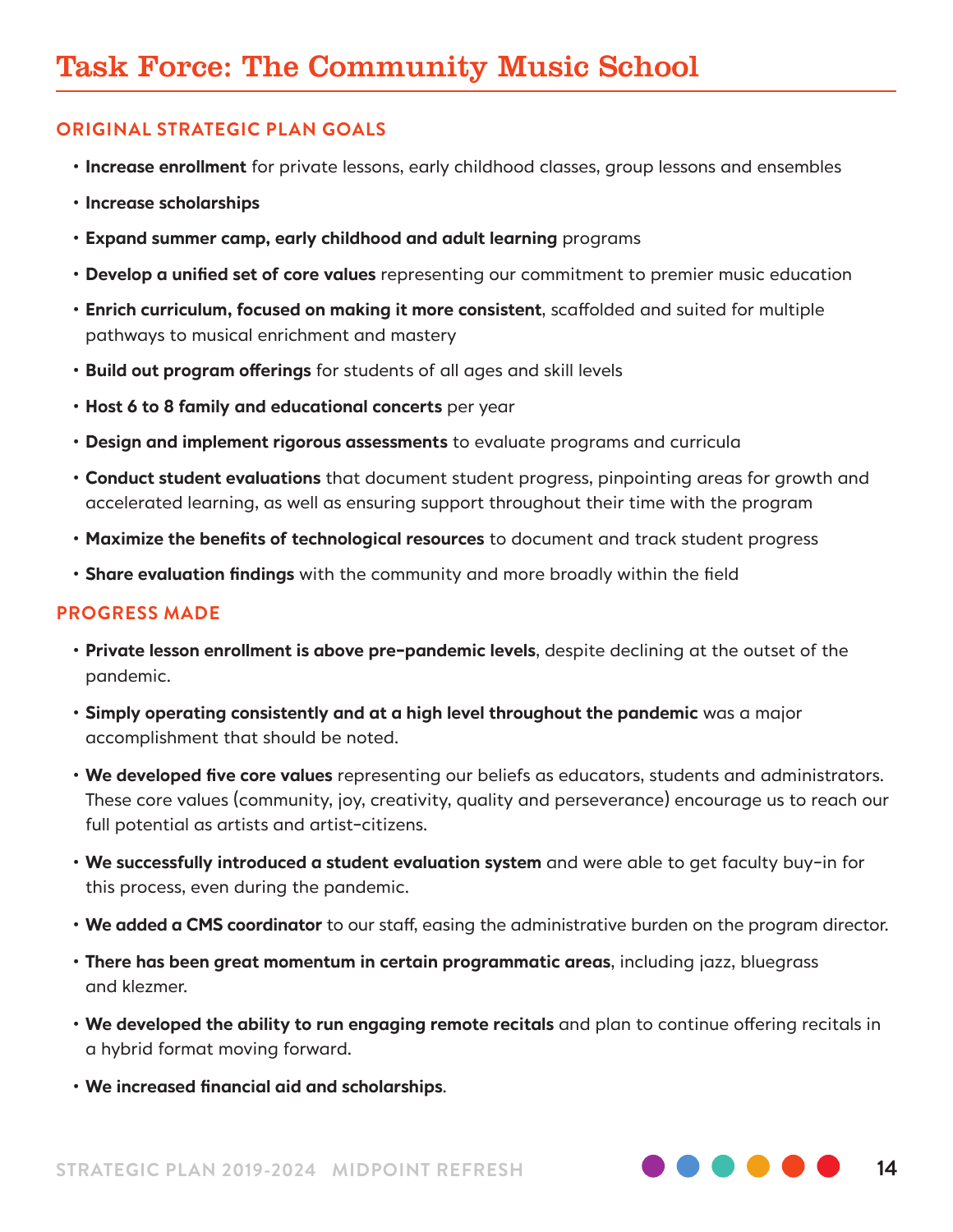### Task Force: The Community Music School

#### **ORIGINAL STRATEGIC PLAN GOALS**

- **Increase enrollment** for private lessons, early childhood classes, group lessons and ensembles
- **Increase scholarships**
- **Expand summer camp, early childhood and adult learning** programs
- **Develop a unified set of core values** representing our commitment to premier music education
- **Enrich curriculum, focused on making it more consistent**, scaffolded and suited for multiple pathways to musical enrichment and mastery
- **Build out program offerings** for students of all ages and skill levels
- **Host 6 to 8 family and educational concerts** per year
- **Design and implement rigorous assessments** to evaluate programs and curricula
- **Conduct student evaluations** that document student progress, pinpointing areas for growth and accelerated learning, as well as ensuring support throughout their time with the program
- **Maximize the benefits of technological resources** to document and track student progress
- **Share evaluation findings** with the community and more broadly within the field

- **Private lesson enrollment is above pre-pandemic levels**, despite declining at the outset of the pandemic.
- **Simply operating consistently and at a high level throughout the pandemic** was a major accomplishment that should be noted.
- **We developed five core values** representing our beliefs as educators, students and administrators. These core values (community, joy, creativity, quality and perseverance) encourage us to reach our full potential as artists and artist-citizens.
- **We successfully introduced a student evaluation system** and were able to get faculty buy-in for this process, even during the pandemic.
- **We added a CMS coordinator** to our staff, easing the administrative burden on the program director.
- **There has been great momentum in certain programmatic areas**, including jazz, bluegrass and klezmer.
- **We developed the ability to run engaging remote recitals** and plan to continue offering recitals in a hybrid format moving forward.
- **We increased financial aid and scholarships**.

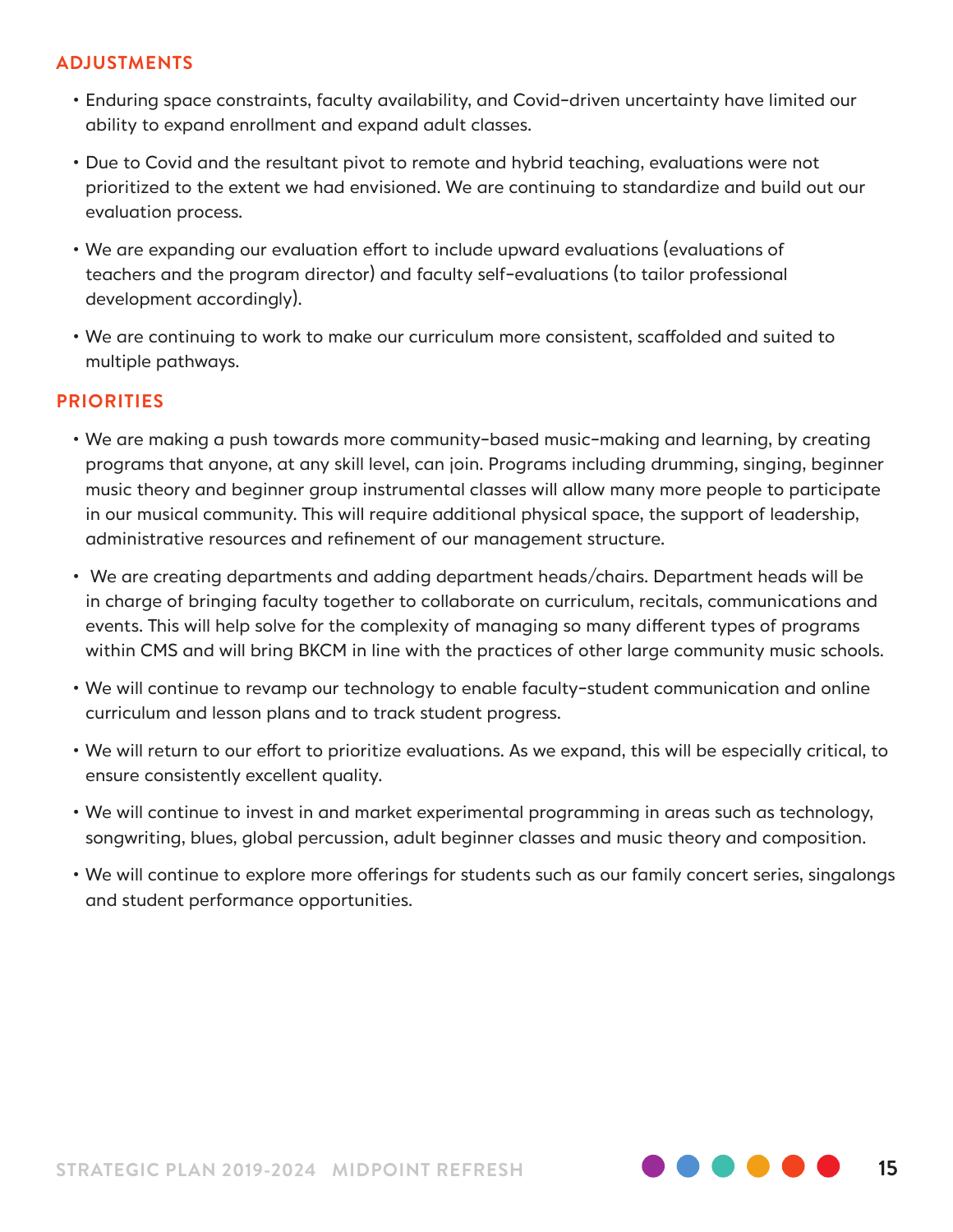#### **ADJUSTMENTS**

- Enduring space constraints, faculty availability, and Covid-driven uncertainty have limited our ability to expand enrollment and expand adult classes.
- Due to Covid and the resultant pivot to remote and hybrid teaching, evaluations were not prioritized to the extent we had envisioned. We are continuing to standardize and build out our evaluation process.
- We are expanding our evaluation effort to include upward evaluations (evaluations of teachers and the program director) and faculty self-evaluations (to tailor professional development accordingly).
- We are continuing to work to make our curriculum more consistent, scaffolded and suited to multiple pathways.

- We are making a push towards more community-based music-making and learning, by creating programs that anyone, at any skill level, can join. Programs including drumming, singing, beginner music theory and beginner group instrumental classes will allow many more people to participate in our musical community. This will require additional physical space, the support of leadership, administrative resources and refinement of our management structure.
- We are creating departments and adding department heads/chairs. Department heads will be in charge of bringing faculty together to collaborate on curriculum, recitals, communications and events. This will help solve for the complexity of managing so many different types of programs within CMS and will bring BKCM in line with the practices of other large community music schools.
- We will continue to revamp our technology to enable faculty-student communication and online curriculum and lesson plans and to track student progress.
- We will return to our effort to prioritize evaluations. As we expand, this will be especially critical, to ensure consistently excellent quality.
- We will continue to invest in and market experimental programming in areas such as technology, songwriting, blues, global percussion, adult beginner classes and music theory and composition.
- We will continue to explore more offerings for students such as our family concert series, singalongs and student performance opportunities.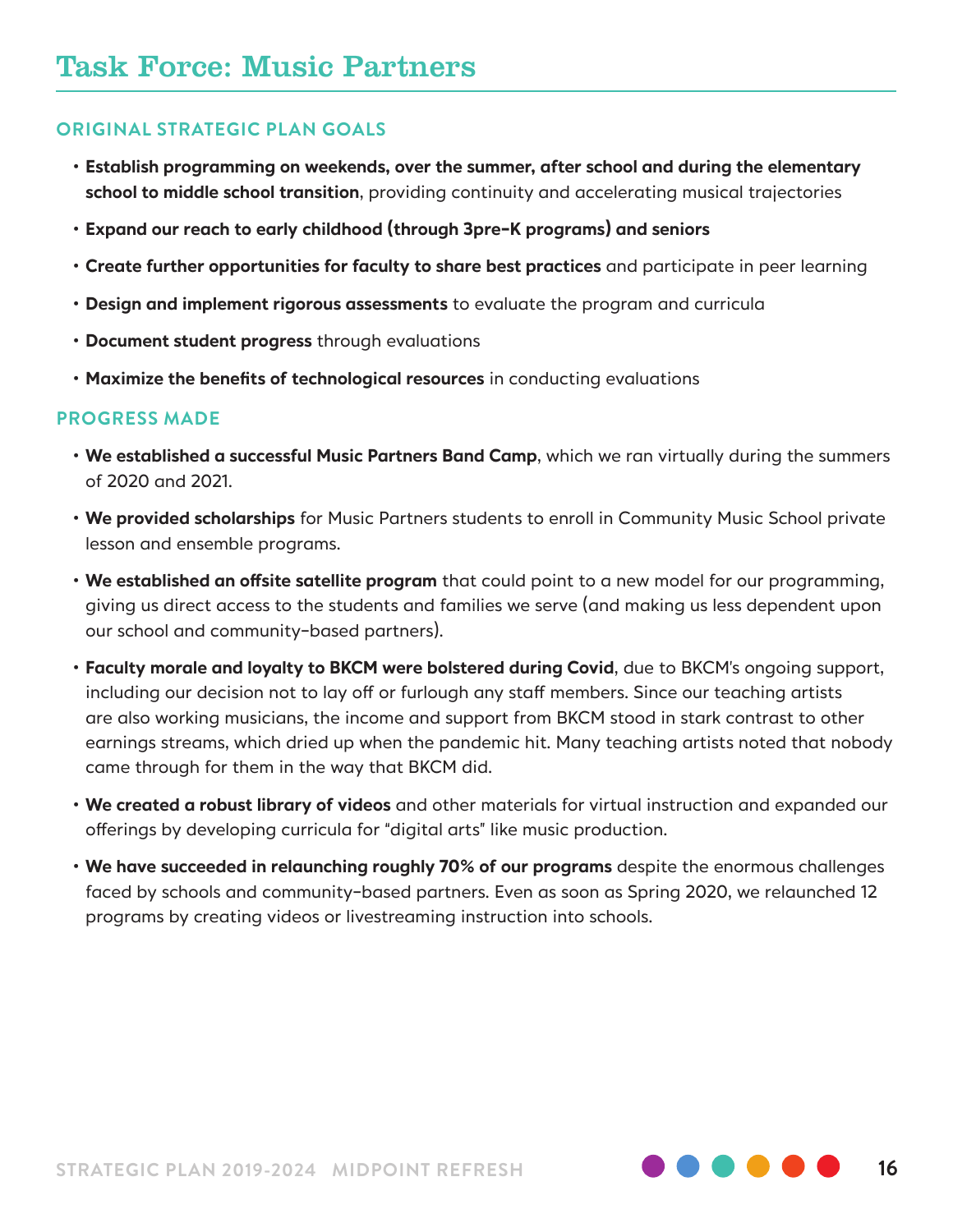- **Establish programming on weekends, over the summer, after school and during the elementary school to middle school transition**, providing continuity and accelerating musical trajectories
- **Expand our reach to early childhood (through 3pre-K programs) and seniors**
- **Create further opportunities for faculty to share best practices** and participate in peer learning
- **Design and implement rigorous assessments** to evaluate the program and curricula
- **Document student progress** through evaluations
- **Maximize the benefits of technological resources** in conducting evaluations

- **We established a successful Music Partners Band Camp**, which we ran virtually during the summers of 2020 and 2021.
- **We provided scholarships** for Music Partners students to enroll in Community Music School private lesson and ensemble programs.
- **We established an offsite satellite program** that could point to a new model for our programming, giving us direct access to the students and families we serve (and making us less dependent upon our school and community-based partners).
- **Faculty morale and loyalty to BKCM were bolstered during Covid**, due to BKCM's ongoing support, including our decision not to lay off or furlough any staff members. Since our teaching artists are also working musicians, the income and support from BKCM stood in stark contrast to other earnings streams, which dried up when the pandemic hit. Many teaching artists noted that nobody came through for them in the way that BKCM did.
- **We created a robust library of videos** and other materials for virtual instruction and expanded our offerings by developing curricula for "digital arts" like music production.
- **We have succeeded in relaunching roughly 70% of our programs** despite the enormous challenges faced by schools and community-based partners. Even as soon as Spring 2020, we relaunched 12 programs by creating videos or livestreaming instruction into schools.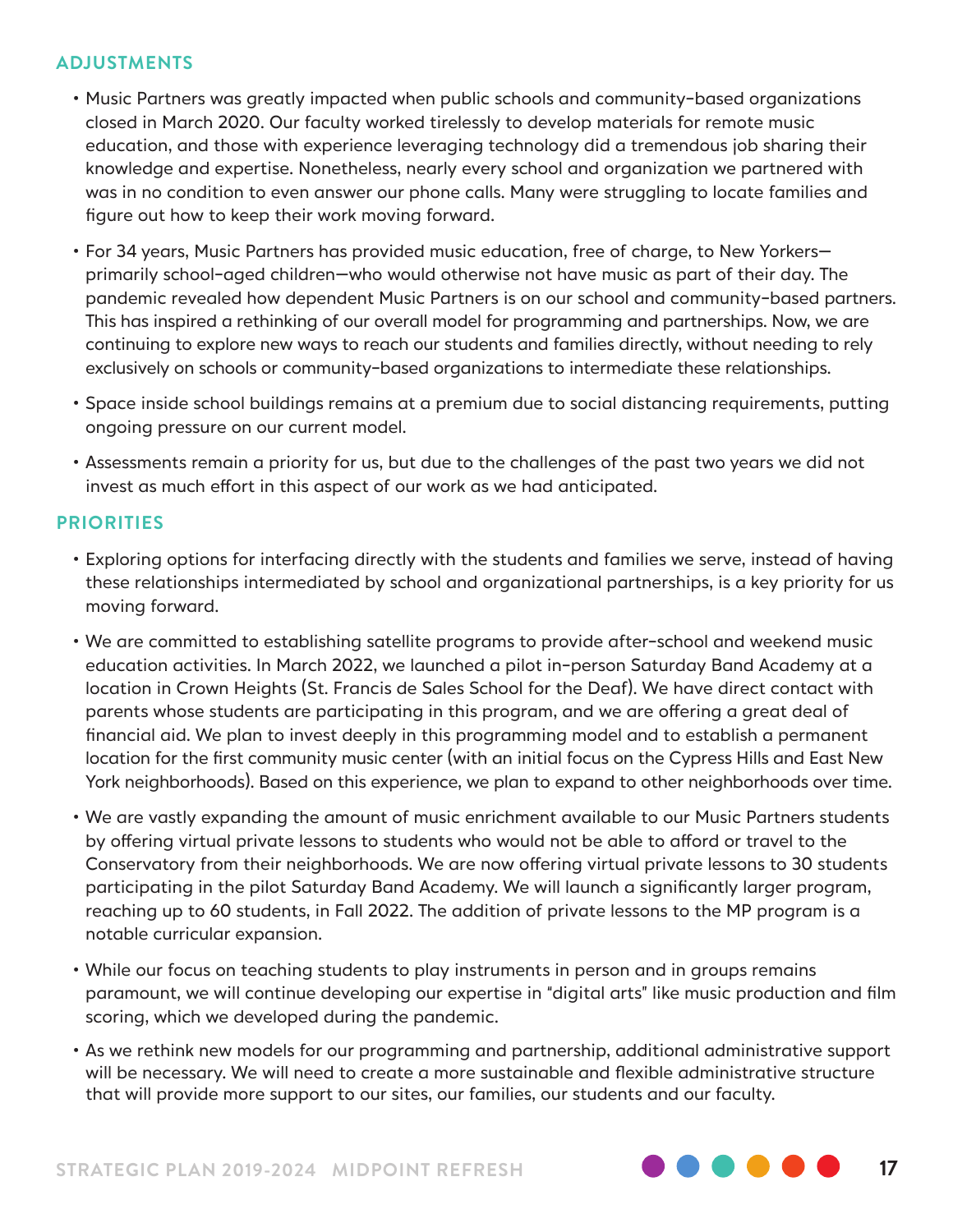#### **ADJUSTMENTS**

- Music Partners was greatly impacted when public schools and community-based organizations closed in March 2020. Our faculty worked tirelessly to develop materials for remote music education, and those with experience leveraging technology did a tremendous job sharing their knowledge and expertise. Nonetheless, nearly every school and organization we partnered with was in no condition to even answer our phone calls. Many were struggling to locate families and figure out how to keep their work moving forward.
- For 34 years, Music Partners has provided music education, free of charge, to New Yorkers primarily school-aged children—who would otherwise not have music as part of their day. The pandemic revealed how dependent Music Partners is on our school and community-based partners. This has inspired a rethinking of our overall model for programming and partnerships. Now, we are continuing to explore new ways to reach our students and families directly, without needing to rely exclusively on schools or community-based organizations to intermediate these relationships.
- Space inside school buildings remains at a premium due to social distancing requirements, putting ongoing pressure on our current model.
- Assessments remain a priority for us, but due to the challenges of the past two years we did not invest as much effort in this aspect of our work as we had anticipated.

- Exploring options for interfacing directly with the students and families we serve, instead of having these relationships intermediated by school and organizational partnerships, is a key priority for us moving forward.
- We are committed to establishing satellite programs to provide after-school and weekend music education activities. In March 2022, we launched a pilot in-person Saturday Band Academy at a location in Crown Heights (St. Francis de Sales School for the Deaf). We have direct contact with parents whose students are participating in this program, and we are offering a great deal of financial aid. We plan to invest deeply in this programming model and to establish a permanent location for the first community music center (with an initial focus on the Cypress Hills and East New York neighborhoods). Based on this experience, we plan to expand to other neighborhoods over time.
- We are vastly expanding the amount of music enrichment available to our Music Partners students by offering virtual private lessons to students who would not be able to afford or travel to the Conservatory from their neighborhoods. We are now offering virtual private lessons to 30 students participating in the pilot Saturday Band Academy. We will launch a significantly larger program, reaching up to 60 students, in Fall 2022. The addition of private lessons to the MP program is a notable curricular expansion.
- While our focus on teaching students to play instruments in person and in groups remains paramount, we will continue developing our expertise in "digital arts" like music production and film scoring, which we developed during the pandemic.
- As we rethink new models for our programming and partnership, additional administrative support will be necessary. We will need to create a more sustainable and flexible administrative structure that will provide more support to our sites, our families, our students and our faculty.



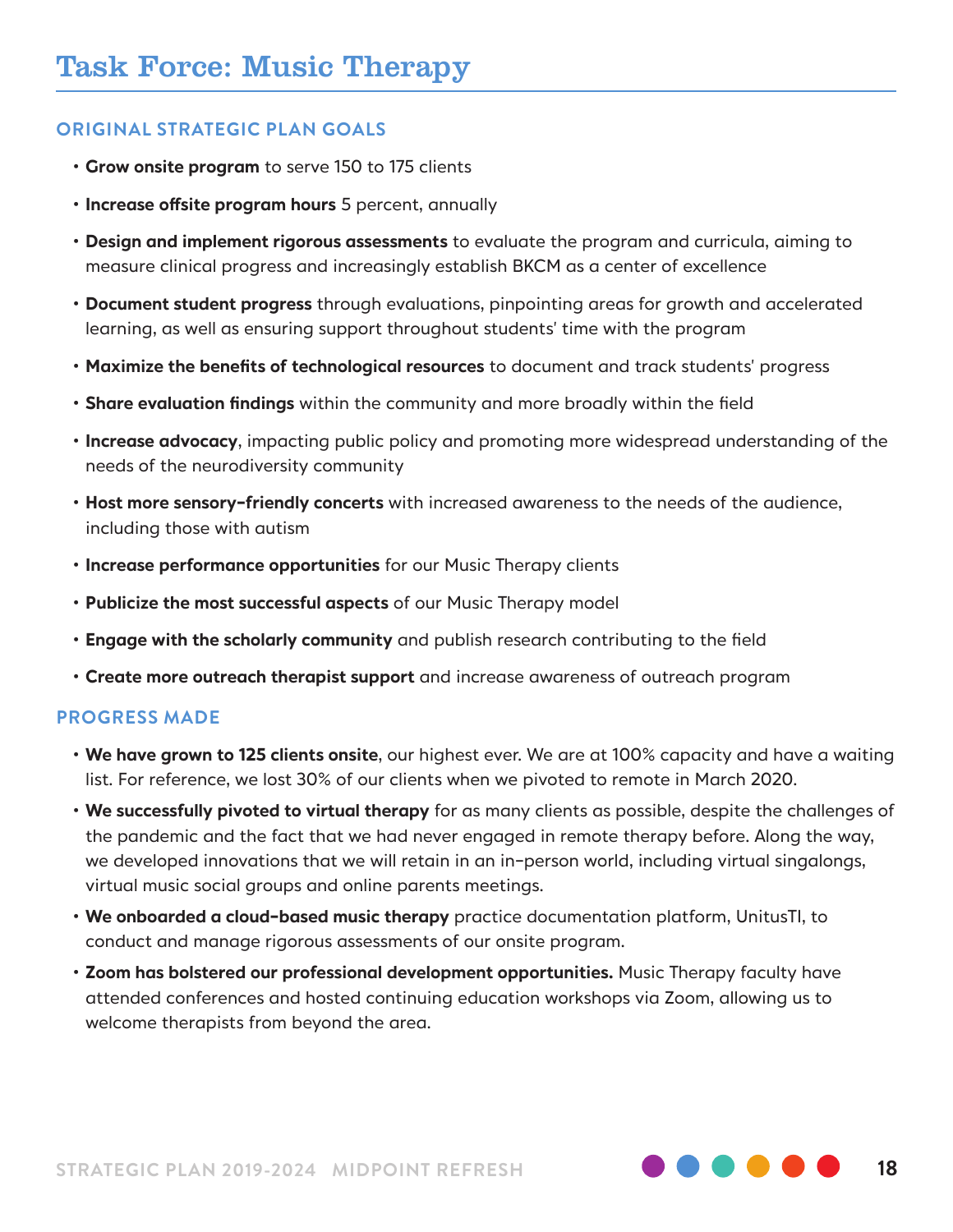- **Grow onsite program** to serve 150 to 175 clients
- **Increase offsite program hours** 5 percent, annually
- **Design and implement rigorous assessments** to evaluate the program and curricula, aiming to measure clinical progress and increasingly establish BKCM as a center of excellence
- **Document student progress** through evaluations, pinpointing areas for growth and accelerated learning, as well as ensuring support throughout students' time with the program
- **Maximize the benefits of technological resources** to document and track students' progress
- **Share evaluation findings** within the community and more broadly within the field
- **Increase advocacy**, impacting public policy and promoting more widespread understanding of the needs of the neurodiversity community
- **Host more sensory-friendly concerts** with increased awareness to the needs of the audience, including those with autism
- **Increase performance opportunities** for our Music Therapy clients
- **Publicize the most successful aspects** of our Music Therapy model
- **Engage with the scholarly community** and publish research contributing to the field
- **Create more outreach therapist support** and increase awareness of outreach program

- **We have grown to 125 clients onsite**, our highest ever. We are at 100% capacity and have a waiting list. For reference, we lost 30% of our clients when we pivoted to remote in March 2020.
- **We successfully pivoted to virtual therapy** for as many clients as possible, despite the challenges of the pandemic and the fact that we had never engaged in remote therapy before. Along the way, we developed innovations that we will retain in an in-person world, including virtual singalongs, virtual music social groups and online parents meetings.
- **We onboarded a cloud-based music therapy** practice documentation platform, UnitusTI, to conduct and manage rigorous assessments of our onsite program.
- **Zoom has bolstered our professional development opportunities.** Music Therapy faculty have attended conferences and hosted continuing education workshops via Zoom, allowing us to welcome therapists from beyond the area.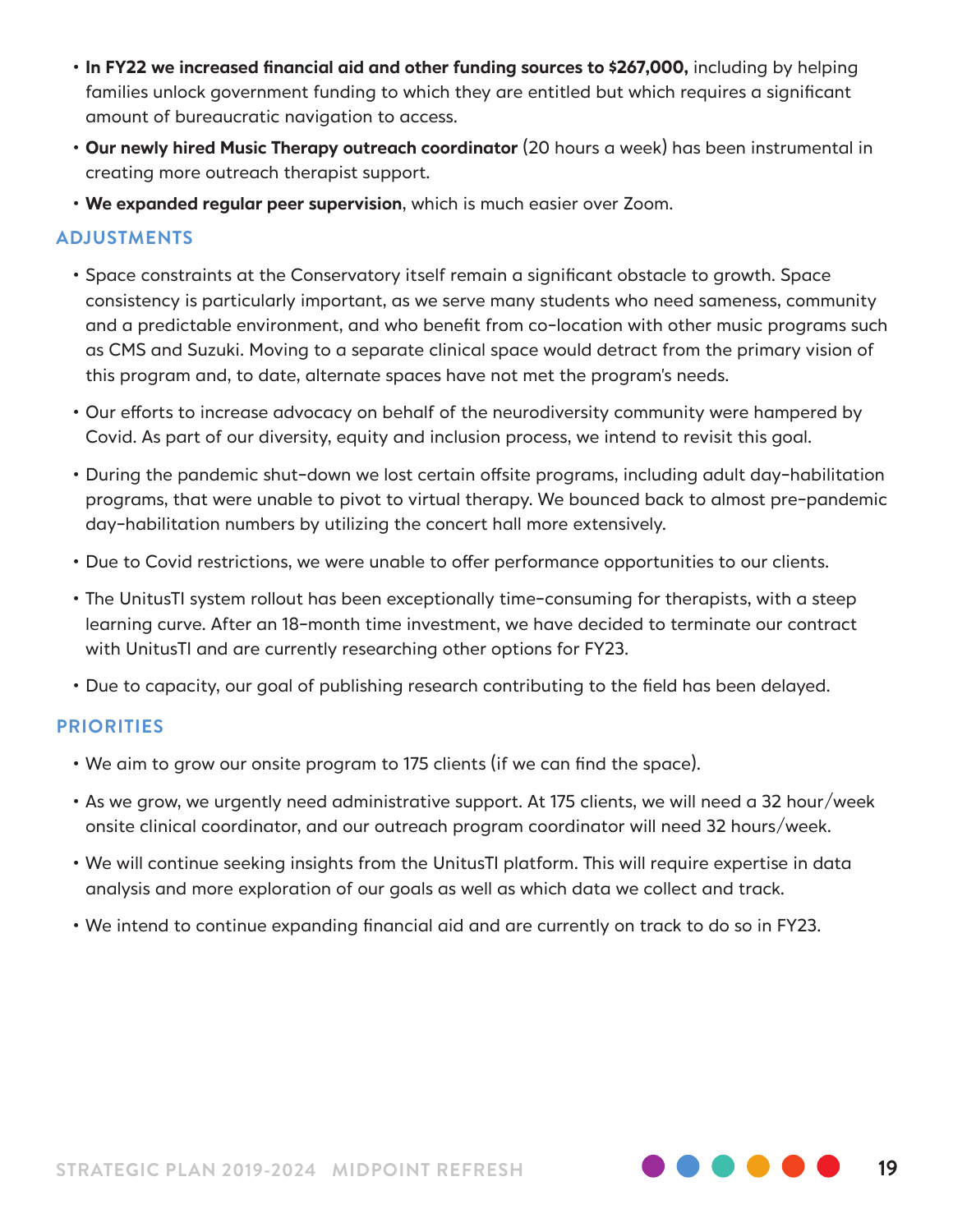- **In FY22 we increased financial aid and other funding sources to \$267,000,** including by helping families unlock government funding to which they are entitled but which requires a significant amount of bureaucratic navigation to access.
- **Our newly hired Music Therapy outreach coordinator** (20 hours a week) has been instrumental in creating more outreach therapist support.
- **We expanded regular peer supervision**, which is much easier over Zoom.

#### **ADJUSTMENTS**

- Space constraints at the Conservatory itself remain a significant obstacle to growth. Space consistency is particularly important, as we serve many students who need sameness, community and a predictable environment, and who benefit from co-location with other music programs such as CMS and Suzuki. Moving to a separate clinical space would detract from the primary vision of this program and, to date, alternate spaces have not met the program's needs.
- Our efforts to increase advocacy on behalf of the neurodiversity community were hampered by Covid. As part of our diversity, equity and inclusion process, we intend to revisit this goal.
- During the pandemic shut-down we lost certain offsite programs, including adult day-habilitation programs, that were unable to pivot to virtual therapy. We bounced back to almost pre-pandemic day-habilitation numbers by utilizing the concert hall more extensively.
- Due to Covid restrictions, we were unable to offer performance opportunities to our clients.
- The UnitusTI system rollout has been exceptionally time-consuming for therapists, with a steep learning curve. After an 18-month time investment, we have decided to terminate our contract with UnitusTI and are currently researching other options for FY23.
- Due to capacity, our goal of publishing research contributing to the field has been delayed.

- We aim to grow our onsite program to 175 clients (if we can find the space).
- As we grow, we urgently need administrative support. At 175 clients, we will need a 32 hour/week onsite clinical coordinator, and our outreach program coordinator will need 32 hours/week.
- We will continue seeking insights from the UnitusTI platform. This will require expertise in data analysis and more exploration of our goals as well as which data we collect and track.
- We intend to continue expanding financial aid and are currently on track to do so in FY23.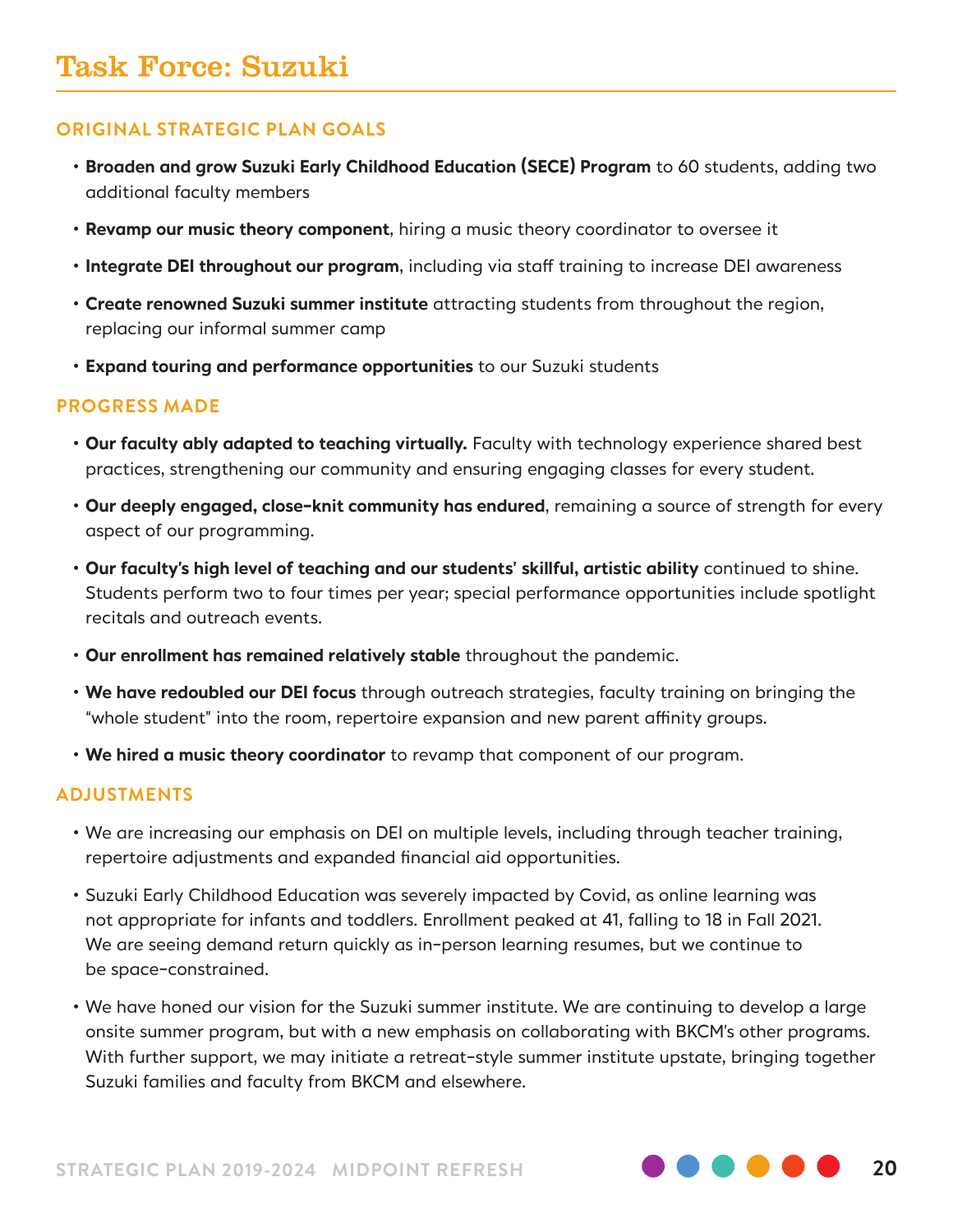- **Broaden and grow Suzuki Early Childhood Education (SECE) Program** to 60 students, adding two additional faculty members
- **Revamp our music theory component**, hiring a music theory coordinator to oversee it
- **Integrate DEI throughout our program**, including via staff training to increase DEI awareness
- **Create renowned Suzuki summer institute** attracting students from throughout the region, replacing our informal summer camp
- **Expand touring and performance opportunities** to our Suzuki students

#### **PROGRESS MADE**

- **Our faculty ably adapted to teaching virtually.** Faculty with technology experience shared best practices, strengthening our community and ensuring engaging classes for every student.
- **Our deeply engaged, close-knit community has endured**, remaining a source of strength for every aspect of our programming.
- **Our faculty's high level of teaching and our students' skillful, artistic ability** continued to shine. Students perform two to four times per year; special performance opportunities include spotlight recitals and outreach events.
- **Our enrollment has remained relatively stable** throughout the pandemic.
- **We have redoubled our DEI focus** through outreach strategies, faculty training on bringing the "whole student" into the room, repertoire expansion and new parent affinity groups.
- **We hired a music theory coordinator** to revamp that component of our program.

#### **ADJUSTMENTS**

- We are increasing our emphasis on DEI on multiple levels, including through teacher training, repertoire adjustments and expanded financial aid opportunities.
- Suzuki Early Childhood Education was severely impacted by Covid, as online learning was not appropriate for infants and toddlers. Enrollment peaked at 41, falling to 18 in Fall 2021. We are seeing demand return quickly as in-person learning resumes, but we continue to be space-constrained.
- We have honed our vision for the Suzuki summer institute. We are continuing to develop a large onsite summer program, but with a new emphasis on collaborating with BKCM's other programs. With further support, we may initiate a retreat-style summer institute upstate, bringing together Suzuki families and faculty from BKCM and elsewhere.

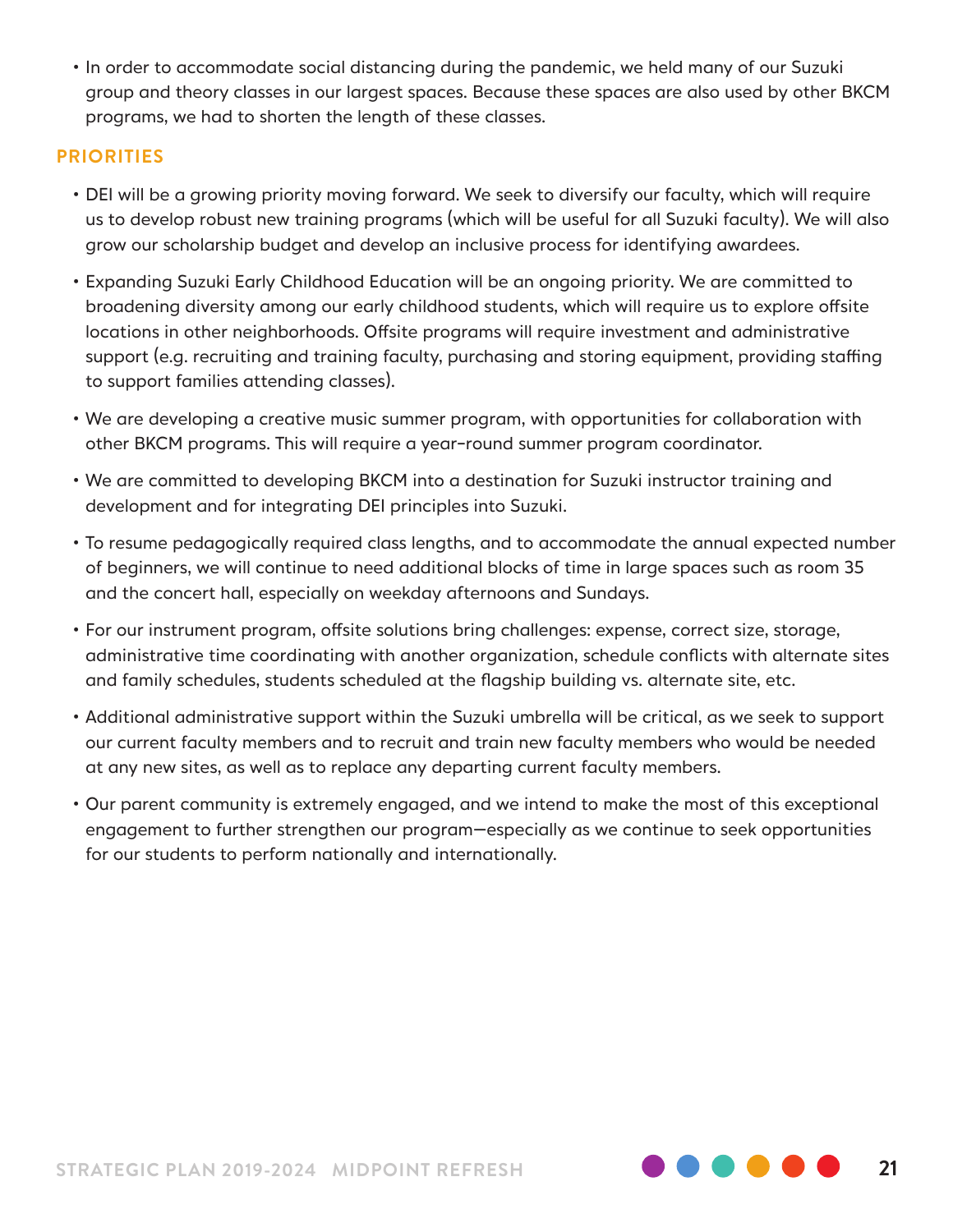• In order to accommodate social distancing during the pandemic, we held many of our Suzuki group and theory classes in our largest spaces. Because these spaces are also used by other BKCM programs, we had to shorten the length of these classes.

- DEI will be a growing priority moving forward. We seek to diversify our faculty, which will require us to develop robust new training programs (which will be useful for all Suzuki faculty). We will also grow our scholarship budget and develop an inclusive process for identifying awardees.
- Expanding Suzuki Early Childhood Education will be an ongoing priority. We are committed to broadening diversity among our early childhood students, which will require us to explore offsite locations in other neighborhoods. Offsite programs will require investment and administrative support (e.g. recruiting and training faculty, purchasing and storing equipment, providing staffing to support families attending classes).
- We are developing a creative music summer program, with opportunities for collaboration with other BKCM programs. This will require a year-round summer program coordinator.
- We are committed to developing BKCM into a destination for Suzuki instructor training and development and for integrating DEI principles into Suzuki.
- To resume pedagogically required class lengths, and to accommodate the annual expected number of beginners, we will continue to need additional blocks of time in large spaces such as room 35 and the concert hall, especially on weekday afternoons and Sundays.
- For our instrument program, offsite solutions bring challenges: expense, correct size, storage, administrative time coordinating with another organization, schedule conflicts with alternate sites and family schedules, students scheduled at the flagship building vs. alternate site, etc.
- Additional administrative support within the Suzuki umbrella will be critical, as we seek to support our current faculty members and to recruit and train new faculty members who would be needed at any new sites, as well as to replace any departing current faculty members.
- Our parent community is extremely engaged, and we intend to make the most of this exceptional engagement to further strengthen our program—especially as we continue to seek opportunities for our students to perform nationally and internationally.